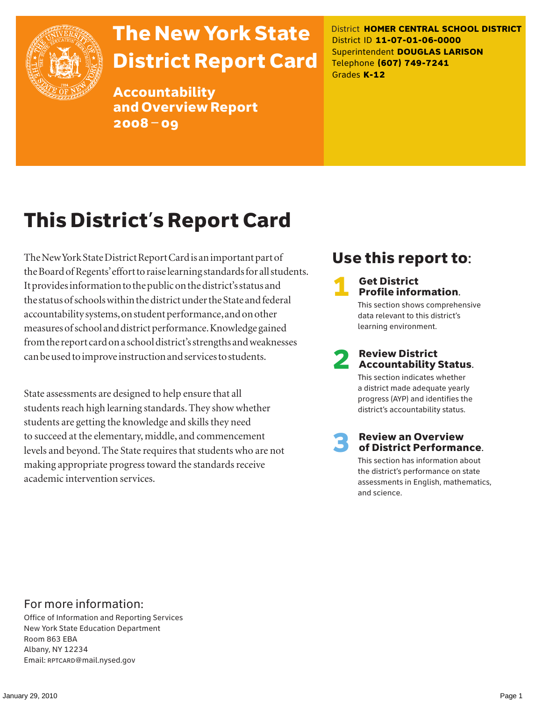

## The New York State District Report Card

Accountability and Overview Report 2008–09

District **HOMER CENTRAL SCHOOL DISTRICT** District ID **11-07-01-06-0000** Superintendent **DOUGLAS LARISON** Telephone **(607) 749-7241** Grades **K-12**

## This District's Report Card

The New York State District Report Card is an important part of the Board of Regents' effort to raise learning standards for all students. It provides information to the public on the district's status and the status of schools within the district under the State and federal accountability systems, on student performance, and on other measures of school and district performance. Knowledge gained from the report card on a school district's strengths and weaknesses can be used to improve instruction and services to students.

State assessments are designed to help ensure that all students reach high learning standards. They show whether students are getting the knowledge and skills they need to succeed at the elementary, middle, and commencement levels and beyond. The State requires that students who are not making appropriate progress toward the standards receive academic intervention services.

### Use this report to:

#### **Get District** Profile information.

This section shows comprehensive data relevant to this district's learning environment.

# **2** Review District<br>Accountability Status.

This section indicates whether a district made adequate yearly progress (AYP) and identifies the district's accountability status.

## **3** Review an Overview<br>
of District Performance.

This section has information about the district's performance on state assessments in English, mathematics, and science.

### For more information:

Office of Information and Reporting Services New York State Education Department Room 863 EBA Albany, NY 12234 Email: RPTCARD@mail.nysed.gov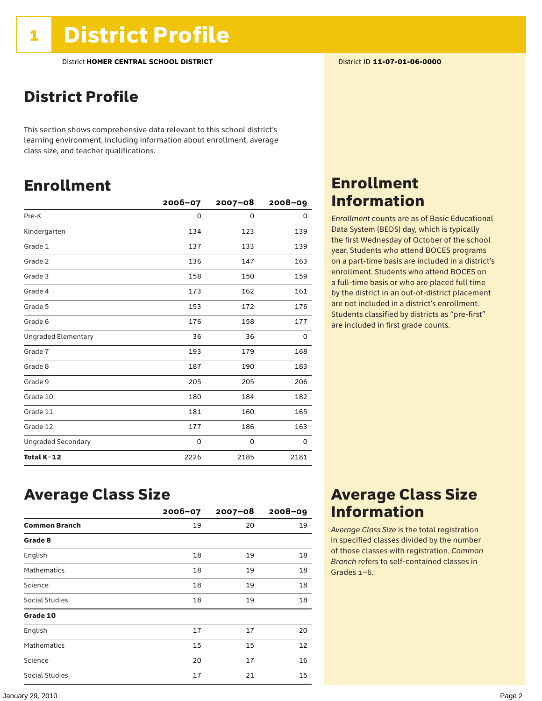### District Profile

This section shows comprehensive data relevant to this school district's learning environment, including information about enrollment, average class size, and teacher qualifications.

### Enrollment

|                            | $2006 - 07$ | $2007 - 08$ | $2008 - 09$ |
|----------------------------|-------------|-------------|-------------|
| Pre-K                      | 0           | 0           | 0           |
| Kindergarten               | 134         | 123         | 139         |
| Grade 1                    | 137         | 133         | 139         |
| Grade 2                    | 136         | 147         | 163         |
| Grade 3                    | 158         | 150         | 159         |
| Grade 4                    | 173         | 162         | 161         |
| Grade 5                    | 153         | 172         | 176         |
| Grade 6                    | 176         | 158         | 177         |
| <b>Ungraded Elementary</b> | 36          | 36          | 0           |
| Grade 7                    | 193         | 179         | 168         |
| Grade 8                    | 187         | 190         | 183         |
| Grade 9                    | 205         | 205         | 206         |
| Grade 10                   | 180         | 184         | 182         |
| Grade 11                   | 181         | 160         | 165         |
| Grade 12                   | 177         | 186         | 163         |
| <b>Ungraded Secondary</b>  | 0           | 0           | 0           |
| Total K-12                 | 2226        | 2185        | 2181        |

### Enrollment Information

*Enrollment* counts are as of Basic Educational Data System (BEDS) day, which is typically the first Wednesday of October of the school year. Students who attend BOCES programs on a part-time basis are included in a district's enrollment. Students who attend BOCES on a full-time basis or who are placed full time by the district in an out-of-district placement are not included in a district's enrollment. Students classified by districts as "pre-first" are included in first grade counts.

### Average Class Size

|                      | $2006 - 07$ | $2007 - 08$ | $2008 - 09$ |
|----------------------|-------------|-------------|-------------|
| <b>Common Branch</b> | 19          | 20          | 19          |
| Grade 8              |             |             |             |
| English              | 18          | 19          | 18          |
| <b>Mathematics</b>   | 18          | 19          | 18          |
| Science              | 18          | 19          | 18          |
| Social Studies       | 18          | 19          | 18          |
| Grade 10             |             |             |             |
| English              | 17          | 17          | 20          |
| <b>Mathematics</b>   | 15          | 15          | 12          |
| Science              | 20          | 17          | 16          |
| Social Studies       | 17          | 21          | 15          |

### Average Class Size Information

*Average Class Size* is the total registration in specified classes divided by the number of those classes with registration. *Common Branch* refers to self-contained classes in Grades 1–6.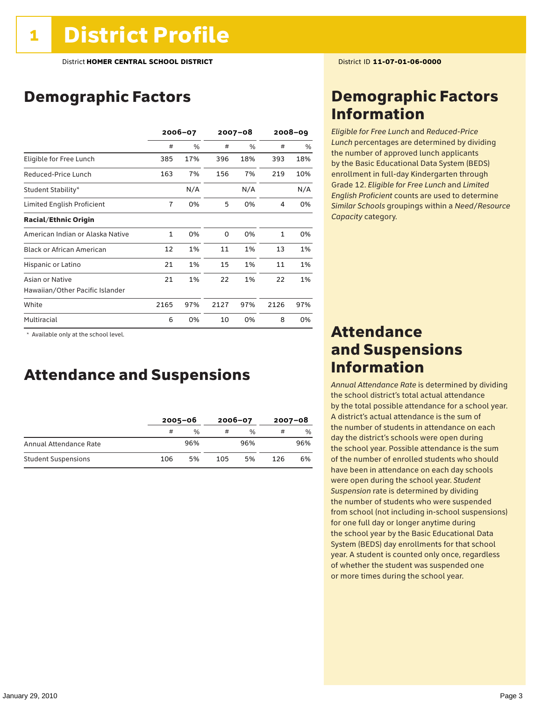### Demographic Factors

|                                  | 2006-07        |     | $2007 - 08$ |      | $2008 - 09$  |     |
|----------------------------------|----------------|-----|-------------|------|--------------|-----|
|                                  | #              | %   | #           | $\%$ | #            | %   |
| Eligible for Free Lunch          | 385            | 17% | 396         | 18%  | 393          | 18% |
| Reduced-Price Lunch              | 163            | 7%  | 156         | 7%   | 219          | 10% |
| Student Stability*               |                | N/A |             | N/A  |              | N/A |
| Limited English Proficient       | $\overline{7}$ | 0%  | 5           | 0%   | 4            | 0%  |
| <b>Racial/Ethnic Origin</b>      |                |     |             |      |              |     |
| American Indian or Alaska Native | 1              | 0%  | $\Omega$    | 0%   | $\mathbf{1}$ | 0%  |
| <b>Black or African American</b> | 12             | 1%  | 11          | 1%   | 13           | 1%  |
| Hispanic or Latino               | 21             | 1%  | 15          | 1%   | 11           | 1%  |
| Asian or Native                  | 21             | 1%  | 22          | 1%   | 22           | 1%  |
| Hawaiian/Other Pacific Islander  |                |     |             |      |              |     |
| White                            | 2165           | 97% | 2127        | 97%  | 2126         | 97% |
| Multiracial                      | 6              | 0%  | 10          | 0%   | 8            | 0%  |

\* Available only at the school level.

### Attendance and Suspensions

|                            |     | $2005 - 06$   |     | $2006 - 07$   | $2007 - 08$ |     |
|----------------------------|-----|---------------|-----|---------------|-------------|-----|
|                            | #   | $\frac{0}{0}$ |     | $\frac{1}{2}$ | #           | %   |
| Annual Attendance Rate     |     | 96%           |     | 96%           |             | 96% |
| <b>Student Suspensions</b> | 106 | 5%            | 105 | 5%            | 126         | 6%  |

### Demographic Factors Information

*Eligible for Free Lunch* and *Reduced*-*Price Lunch* percentages are determined by dividing the number of approved lunch applicants by the Basic Educational Data System (BEDS) enrollment in full-day Kindergarten through Grade 12. *Eligible for Free Lunch* and *Limited English Proficient* counts are used to determine *Similar Schools* groupings within a *Need*/*Resource Capacity* category.

### Attendance and Suspensions Information

*Annual Attendance Rate* is determined by dividing the school district's total actual attendance by the total possible attendance for a school year. A district's actual attendance is the sum of the number of students in attendance on each day the district's schools were open during the school year. Possible attendance is the sum of the number of enrolled students who should have been in attendance on each day schools were open during the school year. *Student Suspension* rate is determined by dividing the number of students who were suspended from school (not including in-school suspensions) for one full day or longer anytime during the school year by the Basic Educational Data System (BEDS) day enrollments for that school year. A student is counted only once, regardless of whether the student was suspended one or more times during the school year.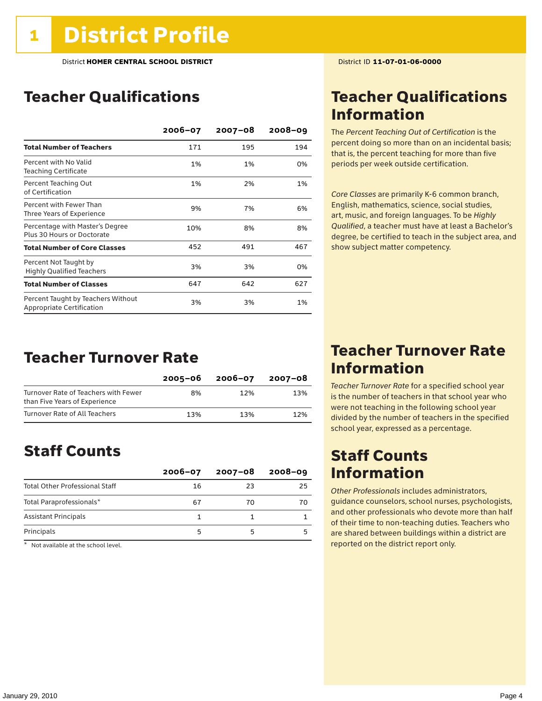### Teacher Qualifications

|                                                                 | 2006-07 | $2007 - 08$ | $2008 - 09$ |
|-----------------------------------------------------------------|---------|-------------|-------------|
| <b>Total Number of Teachers</b>                                 | 171     | 195         | 194         |
| Percent with No Valid<br><b>Teaching Certificate</b>            | 1%      | 1%          | 0%          |
| Percent Teaching Out<br>of Certification                        | 1%      | 2%          | 1%          |
| Percent with Fewer Than<br>Three Years of Experience            | 9%      | 7%          | 6%          |
| Percentage with Master's Degree<br>Plus 30 Hours or Doctorate   | 10%     | 8%          | 8%          |
| <b>Total Number of Core Classes</b>                             | 452     | 491         | 467         |
| Percent Not Taught by<br><b>Highly Qualified Teachers</b>       | 3%      | 3%          | 0%          |
| <b>Total Number of Classes</b>                                  | 647     | 642         | 627         |
| Percent Taught by Teachers Without<br>Appropriate Certification | 3%      | 3%          | 1%          |

### Teacher Turnover Rate

|                                                                       | $2005 - 06$ | 2006-07 | 2007-08 |
|-----------------------------------------------------------------------|-------------|---------|---------|
| Turnover Rate of Teachers with Fewer<br>than Five Years of Experience | 8%          | 12%     | 13%     |
| Turnover Rate of All Teachers                                         | 13%         | 13%     | 12%     |

### Staff Counts

|                                       | $2006 - 07$ | 2007-08 | $2008 - 09$ |
|---------------------------------------|-------------|---------|-------------|
| <b>Total Other Professional Staff</b> | 16          | 23      | 25          |
| Total Paraprofessionals*              | 67          | 70      | 70          |
| <b>Assistant Principals</b>           |             |         |             |
| Principals                            |             |         |             |

 $*$  Not available at the school level.

### Teacher Qualifications Information

The *Percent Teaching Out of Certification* is the percent doing so more than on an incidental basis; that is, the percent teaching for more than five periods per week outside certification.

*Core Classes* are primarily K-6 common branch, English, mathematics, science, social studies, art, music, and foreign languages. To be *Highly Qualified*, a teacher must have at least a Bachelor's degree, be certified to teach in the subject area, and show subject matter competency.

### Teacher Turnover Rate Information

*Teacher Turnover Rate* for a specified school year is the number of teachers in that school year who were not teaching in the following school year divided by the number of teachers in the specified school year, expressed as a percentage.

### Staff Counts Information

*Other Professionals* includes administrators, guidance counselors, school nurses, psychologists, and other professionals who devote more than half of their time to non-teaching duties. Teachers who are shared between buildings within a district are reported on the district report only.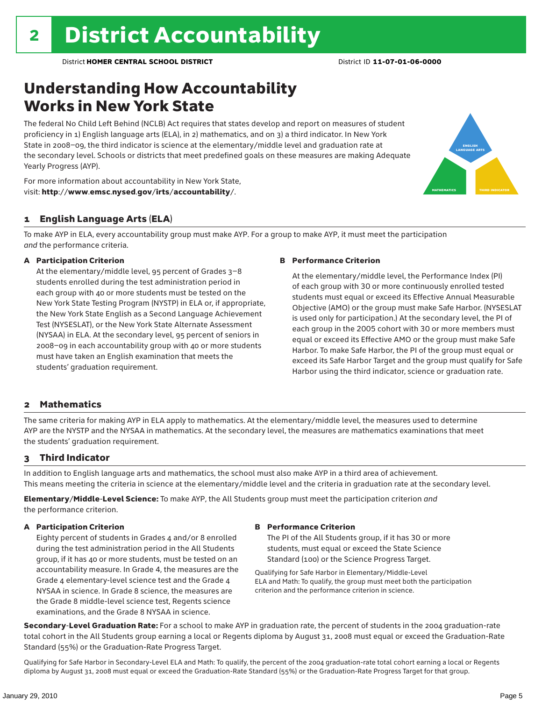### Understanding How Accountability Works in New York State

The federal No Child Left Behind (NCLB) Act requires that states develop and report on measures of student proficiency in 1) English language arts (ELA), in 2) mathematics, and on 3) a third indicator. In New York State in 2008–09, the third indicator is science at the elementary/middle level and graduation rate at the secondary level. Schools or districts that meet predefined goals on these measures are making Adequate Yearly Progress (AYP).



For more information about accountability in New York State, visit: http://www.emsc.nysed.gov/irts/accountability/.

#### 1 English Language Arts (ELA)

To make AYP in ELA, every accountability group must make AYP. For a group to make AYP, it must meet the participation *and* the performance criteria.

#### A Participation Criterion

At the elementary/middle level, 95 percent of Grades 3–8 students enrolled during the test administration period in each group with 40 or more students must be tested on the New York State Testing Program (NYSTP) in ELA or, if appropriate, the New York State English as a Second Language Achievement Test (NYSESLAT), or the New York State Alternate Assessment (NYSAA) in ELA. At the secondary level, 95 percent of seniors in 2008–09 in each accountability group with 40 or more students must have taken an English examination that meets the students' graduation requirement.

#### B Performance Criterion

At the elementary/middle level, the Performance Index (PI) of each group with 30 or more continuously enrolled tested students must equal or exceed its Effective Annual Measurable Objective (AMO) or the group must make Safe Harbor. (NYSESLAT is used only for participation.) At the secondary level, the PI of each group in the 2005 cohort with 30 or more members must equal or exceed its Effective AMO or the group must make Safe Harbor. To make Safe Harbor, the PI of the group must equal or exceed its Safe Harbor Target and the group must qualify for Safe Harbor using the third indicator, science or graduation rate.

#### 2 Mathematics

The same criteria for making AYP in ELA apply to mathematics. At the elementary/middle level, the measures used to determine AYP are the NYSTP and the NYSAA in mathematics. At the secondary level, the measures are mathematics examinations that meet the students' graduation requirement.

#### 3 Third Indicator

In addition to English language arts and mathematics, the school must also make AYP in a third area of achievement. This means meeting the criteria in science at the elementary/middle level and the criteria in graduation rate at the secondary level.

Elementary/Middle-Level Science: To make AYP, the All Students group must meet the participation criterion *and* the performance criterion.

#### A Participation Criterion

Eighty percent of students in Grades 4 and/or 8 enrolled during the test administration period in the All Students group, if it has 40 or more students, must be tested on an accountability measure. In Grade 4, the measures are the Grade 4 elementary-level science test and the Grade 4 NYSAA in science. In Grade 8 science, the measures are the Grade 8 middle-level science test, Regents science examinations, and the Grade 8 NYSAA in science.

#### B Performance Criterion

The PI of the All Students group, if it has 30 or more students, must equal or exceed the State Science Standard (100) or the Science Progress Target.

Qualifying for Safe Harbor in Elementary/Middle-Level ELA and Math: To qualify, the group must meet both the participation criterion and the performance criterion in science.

Secondary-Level Graduation Rate: For a school to make AYP in graduation rate, the percent of students in the 2004 graduation-rate total cohort in the All Students group earning a local or Regents diploma by August 31, 2008 must equal or exceed the Graduation-Rate Standard (55%) or the Graduation-Rate Progress Target.

Qualifying for Safe Harbor in Secondary-Level ELA and Math: To qualify, the percent of the 2004 graduation-rate total cohort earning a local or Regents diploma by August 31, 2008 must equal or exceed the Graduation-Rate Standard (55%) or the Graduation-Rate Progress Target for that group.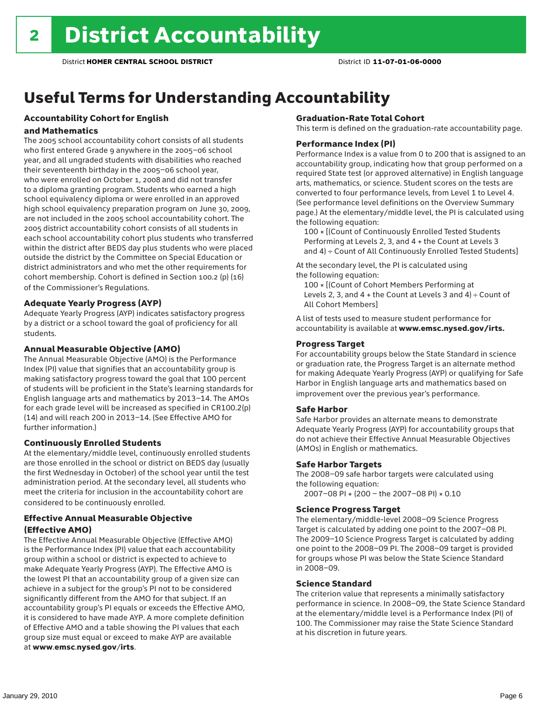## Useful Terms for Understanding Accountability

### Accountability Cohort for English

#### and Mathematics

The 2005 school accountability cohort consists of all students who first entered Grade 9 anywhere in the 2005–06 school year, and all ungraded students with disabilities who reached their seventeenth birthday in the 2005–06 school year, who were enrolled on October 1, 2008 and did not transfer to a diploma granting program. Students who earned a high school equivalency diploma or were enrolled in an approved high school equivalency preparation program on June 30, 2009, are not included in the 2005 school accountability cohort. The 2005 district accountability cohort consists of all students in each school accountability cohort plus students who transferred within the district after BEDS day plus students who were placed outside the district by the Committee on Special Education or district administrators and who met the other requirements for cohort membership. Cohort is defined in Section 100.2 (p) (16) of the Commissioner's Regulations.

#### Adequate Yearly Progress (AYP)

Adequate Yearly Progress (AYP) indicates satisfactory progress by a district or a school toward the goal of proficiency for all students.

#### Annual Measurable Objective (AMO)

The Annual Measurable Objective (AMO) is the Performance Index (PI) value that signifies that an accountability group is making satisfactory progress toward the goal that 100 percent of students will be proficient in the State's learning standards for English language arts and mathematics by 2013–14. The AMOs for each grade level will be increased as specified in CR100.2(p) (14) and will reach 200 in 2013–14. (See Effective AMO for further information.)

#### Continuously Enrolled Students

At the elementary/middle level, continuously enrolled students are those enrolled in the school or district on BEDS day (usually the first Wednesday in October) of the school year until the test administration period. At the secondary level, all students who meet the criteria for inclusion in the accountability cohort are considered to be continuously enrolled.

#### Effective Annual Measurable Objective (Effective AMO)

The Effective Annual Measurable Objective (Effective AMO) is the Performance Index (PI) value that each accountability group within a school or district is expected to achieve to make Adequate Yearly Progress (AYP). The Effective AMO is the lowest PI that an accountability group of a given size can achieve in a subject for the group's PI not to be considered significantly different from the AMO for that subject. If an accountability group's PI equals or exceeds the Effective AMO, it is considered to have made AYP. A more complete definition of Effective AMO and a table showing the PI values that each group size must equal or exceed to make AYP are available at www.emsc.nysed.gov/irts.

#### Graduation-Rate Total Cohort

This term is defined on the graduation-rate accountability page.

#### Performance Index (PI)

Performance Index is a value from 0 to 200 that is assigned to an accountability group, indicating how that group performed on a required State test (or approved alternative) in English language arts, mathematics, or science. Student scores on the tests are converted to four performance levels, from Level 1 to Level 4. (See performance level definitions on the Overview Summary page.) At the elementary/middle level, the PI is calculated using the following equation:

100 × [(Count of Continuously Enrolled Tested Students Performing at Levels 2, 3, and 4 + the Count at Levels 3 and 4) ÷ Count of All Continuously Enrolled Tested Students]

At the secondary level, the PI is calculated using the following equation:

100 × [(Count of Cohort Members Performing at Levels 2, 3, and  $4 +$  the Count at Levels 3 and  $4) \div$  Count of All Cohort Members]

A list of tests used to measure student performance for accountability is available at www.emsc.nysed.gov/irts.

#### Progress Target

For accountability groups below the State Standard in science or graduation rate, the Progress Target is an alternate method for making Adequate Yearly Progress (AYP) or qualifying for Safe Harbor in English language arts and mathematics based on improvement over the previous year's performance.

#### Safe Harbor

Safe Harbor provides an alternate means to demonstrate Adequate Yearly Progress (AYP) for accountability groups that do not achieve their Effective Annual Measurable Objectives (AMOs) in English or mathematics.

#### Safe Harbor Targets

The 2008–09 safe harbor targets were calculated using the following equation:

2007–08 PI + (200 – the 2007–08 PI) × 0.10

#### Science Progress Target

The elementary/middle-level 2008–09 Science Progress Target is calculated by adding one point to the 2007–08 PI. The 2009–10 Science Progress Target is calculated by adding one point to the 2008–09 PI. The 2008–09 target is provided for groups whose PI was below the State Science Standard in 2008–09.

#### Science Standard

The criterion value that represents a minimally satisfactory performance in science. In 2008–09, the State Science Standard at the elementary/middle level is a Performance Index (PI) of 100. The Commissioner may raise the State Science Standard at his discretion in future years.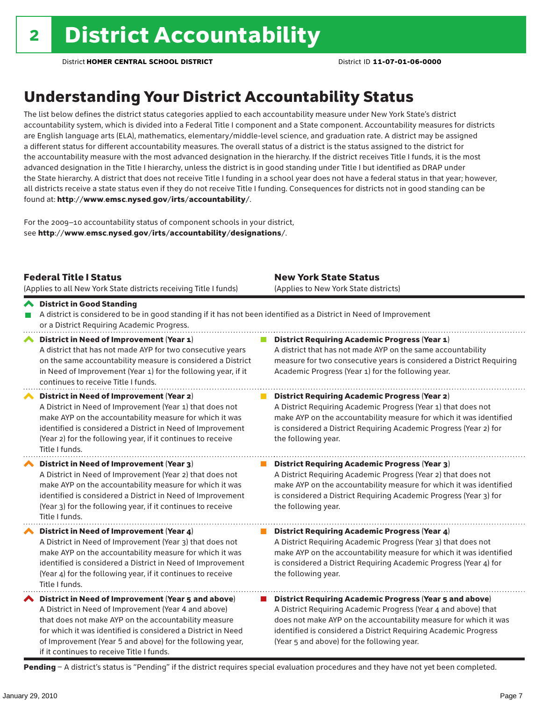### Understanding Your District Accountability Status

The list below defines the district status categories applied to each accountability measure under New York State's district accountability system, which is divided into a Federal Title I component and a State component. Accountability measures for districts are English language arts (ELA), mathematics, elementary/middle-level science, and graduation rate. A district may be assigned a different status for different accountability measures. The overall status of a district is the status assigned to the district for the accountability measure with the most advanced designation in the hierarchy. If the district receives Title I funds, it is the most advanced designation in the Title I hierarchy, unless the district is in good standing under Title I but identified as DRAP under the State hierarchy. A district that does not receive Title I funding in a school year does not have a federal status in that year; however, all districts receive a state status even if they do not receive Title I funding. Consequences for districts not in good standing can be found at: http://www.emsc.nysed.gov/irts/accountability/.

For the 2009–10 accountability status of component schools in your district, see http://www.emsc.nysed.gov/irts/accountability/designations/.

|   | <b>Federal Title I Status</b><br>(Applies to all New York State districts receiving Title I funds)                                                                                                                                                                                                                                             | <b>New York State Status</b><br>(Applies to New York State districts)                                                                                                                                                                                                                                                 |
|---|------------------------------------------------------------------------------------------------------------------------------------------------------------------------------------------------------------------------------------------------------------------------------------------------------------------------------------------------|-----------------------------------------------------------------------------------------------------------------------------------------------------------------------------------------------------------------------------------------------------------------------------------------------------------------------|
|   | ← District in Good Standing<br>A district is considered to be in good standing if it has not been identified as a District in Need of Improvement<br>or a District Requiring Academic Progress.                                                                                                                                                |                                                                                                                                                                                                                                                                                                                       |
| ⌒ | District in Need of Improvement (Year 1)<br>A district that has not made AYP for two consecutive years<br>on the same accountability measure is considered a District<br>in Need of Improvement (Year 1) for the following year, if it<br>continues to receive Title I funds.                                                                  | <b>District Requiring Academic Progress (Year 1)</b><br>A district that has not made AYP on the same accountability<br>measure for two consecutive years is considered a District Requiring<br>Academic Progress (Year 1) for the following year.                                                                     |
|   | District in Need of Improvement (Year 2)<br>A District in Need of Improvement (Year 1) that does not<br>make AYP on the accountability measure for which it was<br>identified is considered a District in Need of Improvement<br>(Year 2) for the following year, if it continues to receive<br>Title I funds.                                 | <b>District Requiring Academic Progress (Year 2)</b><br>A District Requiring Academic Progress (Year 1) that does not<br>make AYP on the accountability measure for which it was identified<br>is considered a District Requiring Academic Progress (Year 2) for<br>the following year.                               |
|   | District in Need of Improvement (Year 3)<br>A District in Need of Improvement (Year 2) that does not<br>make AYP on the accountability measure for which it was<br>identified is considered a District in Need of Improvement<br>(Year 3) for the following year, if it continues to receive<br>Title I funds.                                 | <b>District Requiring Academic Progress (Year 3)</b><br>A District Requiring Academic Progress (Year 2) that does not<br>make AYP on the accountability measure for which it was identified<br>is considered a District Requiring Academic Progress (Year 3) for<br>the following year.                               |
|   | District in Need of Improvement (Year 4)<br>A District in Need of Improvement (Year 3) that does not<br>make AYP on the accountability measure for which it was<br>identified is considered a District in Need of Improvement<br>(Year 4) for the following year, if it continues to receive<br>Title I funds.                                 | District Requiring Academic Progress (Year 4)<br>A District Requiring Academic Progress (Year 3) that does not<br>make AYP on the accountability measure for which it was identified<br>is considered a District Requiring Academic Progress (Year 4) for<br>the following year.                                      |
|   | ◆ District in Need of Improvement (Year 5 and above)<br>A District in Need of Improvement (Year 4 and above)<br>that does not make AYP on the accountability measure<br>for which it was identified is considered a District in Need<br>of Improvement (Year 5 and above) for the following year,<br>if it continues to receive Title I funds. | <b>District Requiring Academic Progress (Year 5 and above)</b><br>A District Requiring Academic Progress (Year 4 and above) that<br>does not make AYP on the accountability measure for which it was<br>identified is considered a District Requiring Academic Progress<br>(Year 5 and above) for the following year. |

Pending - A district's status is "Pending" if the district requires special evaluation procedures and they have not yet been completed.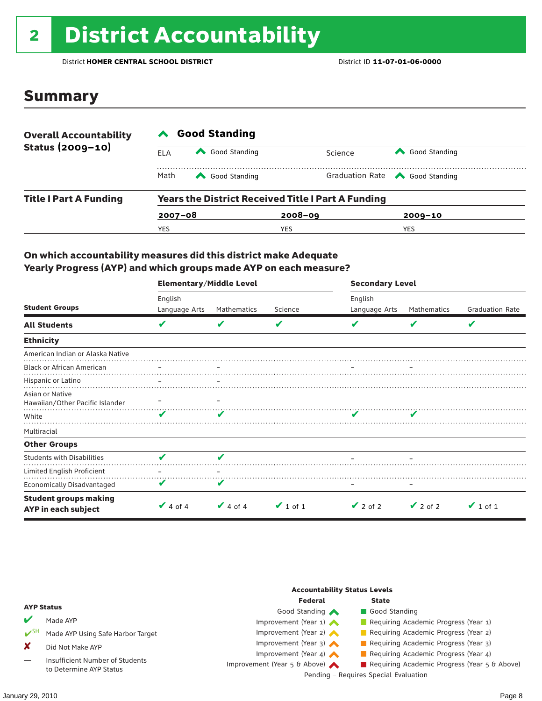## <sup>2</sup> District Accountability

District **HOMER CENTRAL SCHOOL DISTRICT** District ID **11-07-01-06-0000**

### Summary

| <b>Overall Accountability</b><br>Status (2009-10) | <b>Good Standing</b>                                      |               |             |                                       |  |  |  |
|---------------------------------------------------|-----------------------------------------------------------|---------------|-------------|---------------------------------------|--|--|--|
|                                                   | ELA                                                       | Good Standing | Science     | Good Standing                         |  |  |  |
|                                                   | Math                                                      | Good Standing |             | Graduation Rate <a> Good Standing</a> |  |  |  |
| <b>Title I Part A Funding</b>                     | <b>Years the District Received Title I Part A Funding</b> |               |             |                                       |  |  |  |
|                                                   | $2007 - 08$                                               |               | $2008 - 09$ | $2009 - 10$                           |  |  |  |
|                                                   | YES                                                       |               | YES         | YES                                   |  |  |  |

#### On which accountability measures did this district make Adequate Yearly Progress (AYP) and which groups made AYP on each measure?

|                                                     | <b>Elementary/Middle Level</b> |               |               | <b>Secondary Level</b> |               |                        |  |
|-----------------------------------------------------|--------------------------------|---------------|---------------|------------------------|---------------|------------------------|--|
| <b>Student Groups</b>                               | English                        |               |               | English                |               |                        |  |
|                                                     | Language Arts                  | Mathematics   | Science       | Language Arts          | Mathematics   | <b>Graduation Rate</b> |  |
| <b>All Students</b>                                 | V                              |               | V             |                        |               | V                      |  |
| <b>Ethnicity</b>                                    |                                |               |               |                        |               |                        |  |
| American Indian or Alaska Native                    |                                |               |               |                        |               |                        |  |
| <b>Black or African American</b>                    |                                |               |               |                        |               |                        |  |
| Hispanic or Latino                                  |                                |               |               |                        |               |                        |  |
| Asian or Native<br>Hawaiian/Other Pacific Islander  |                                |               |               |                        |               |                        |  |
| White                                               | v                              |               |               |                        |               |                        |  |
| Multiracial                                         |                                |               |               |                        |               |                        |  |
| <b>Other Groups</b>                                 |                                |               |               |                        |               |                        |  |
| <b>Students with Disabilities</b>                   | v                              | v             |               |                        |               |                        |  |
| Limited English Proficient                          |                                |               |               |                        |               |                        |  |
| <b>Economically Disadvantaged</b>                   | V                              | V             |               |                        |               |                        |  |
| <b>Student groups making</b><br>AYP in each subject | $\vee$ 4 of 4                  | $\vee$ 4 of 4 | $\vee$ 1 of 1 | $\vee$ 2 of 2          | $\vee$ 2 of 2 | $\vee$ 1 of 1          |  |

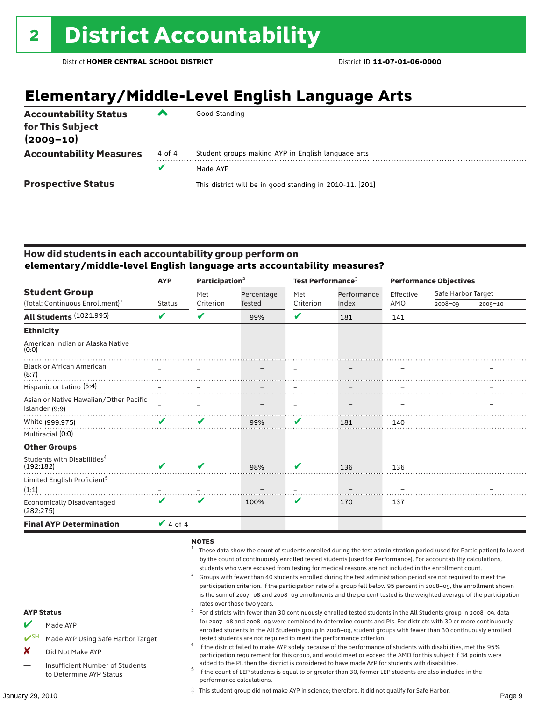### **Elementary/Middle-Level English Language Arts**

| <b>Accountability Status</b><br>for This Subject<br>$(2009 - 10)$ | ▰      | Good Standing                                            |
|-------------------------------------------------------------------|--------|----------------------------------------------------------|
| <b>Accountability Measures</b>                                    | 4 of 4 | Student groups making AYP in English language arts       |
|                                                                   |        | Made AYP                                                 |
| <b>Prospective Status</b>                                         |        | This district will be in good standing in 2010-11. [201] |

#### How did students in each accountability group perform on **elementary/middle-level English language arts accountability measures?**

|                                                          | Participation $2$<br><b>AYP</b> |           |               | Test Performance <sup>3</sup> |             | <b>Performance Objectives</b> |                    |         |
|----------------------------------------------------------|---------------------------------|-----------|---------------|-------------------------------|-------------|-------------------------------|--------------------|---------|
| <b>Student Group</b>                                     |                                 | Met       | Percentage    | Met                           | Performance | Effective                     | Safe Harbor Target |         |
| (Total: Continuous Enrollment) <sup>1</sup>              | <b>Status</b>                   | Criterion | <b>Tested</b> | Criterion                     | Index       | AMO                           | $2008 - 09$        | 2009-10 |
| All Students (1021:995)                                  | V                               | V         | 99%           | V                             | 181         | 141                           |                    |         |
| <b>Ethnicity</b>                                         |                                 |           |               |                               |             |                               |                    |         |
| American Indian or Alaska Native<br>(0:0)                |                                 |           |               |                               |             |                               |                    |         |
| <b>Black or African American</b><br>(8:7)                |                                 |           |               |                               |             |                               |                    |         |
| Hispanic or Latino (5:4)                                 |                                 |           |               |                               |             |                               |                    |         |
| Asian or Native Hawaiian/Other Pacific<br>Islander (9:9) |                                 |           |               |                               |             |                               |                    |         |
| White (999:975)                                          | V                               | V         | 99%           | V                             | 181         | 140                           |                    |         |
| Multiracial (0:0)                                        |                                 |           |               |                               |             |                               |                    |         |
| <b>Other Groups</b>                                      |                                 |           |               |                               |             |                               |                    |         |
| Students with Disabilities <sup>4</sup><br>(192:182)     |                                 | V         | 98%           | V                             | 136         | 136                           |                    |         |
| Limited English Proficient <sup>5</sup><br>(1:1)         |                                 |           |               |                               |             |                               |                    |         |
| <b>Economically Disadvantaged</b><br>(282:275)           | V                               | V         | 100%          | V                             | 170         | 137                           |                    |         |
| <b>Final AYP Determination</b>                           | $\vee$ 4 of 4                   |           |               |                               |             |                               |                    |         |

#### $NOTES$

- <sup>1</sup> These data show the count of students enrolled during the test administration period (used for Participation) followed by the count of continuously enrolled tested students (used for Performance). For accountability calculations,
- students who were excused from testing for medical reasons are not included in the enrollment count.<br>Groups with fewer than 40 students enrolled during the test administration period are not required to meet the participation criterion. If the participation rate of a group fell below 95 percent in 2008–09, the enrollment shown is the sum of 2007–08 and 2008–09 enrollments and the percent tested is the weighted average of the participation rates over those two years.<br><sup>3</sup> For districts with fewer than 30 continuously enrolled tested students in the All Students group in 2008–09, data
- AYP Status Made AYP for 2007–08 and 2008–09 were combined to determine counts and PIs. For districts with 30 or more continuously enrolled students in the All Students group in 2008–09, student groups with fewer than 30 continuously enrolled
- Made AYP Using Safe Harbor Target
- X Did Not Make AYP
- Insufficient Number of Students to Determine AYP Status

added to the PI, then the district is considered to have made AYP for students with disabilities.<br><sup>5</sup> If the count of LEP students is equal to or greater than 30, former LEP students are also included in the performance calculations.

tested students are not required to meet the performance criterion. <sup>4</sup> If the district failed to make AYP solely because of the performance of students with disabilities, met the 95% participation requirement for this group, and would meet or exceed the AMO for this subject if 34 points were

January 29, 2010 Page 9 ‡ This student group did not make AYP in science; therefore, it did not qualify for Safe Harbor.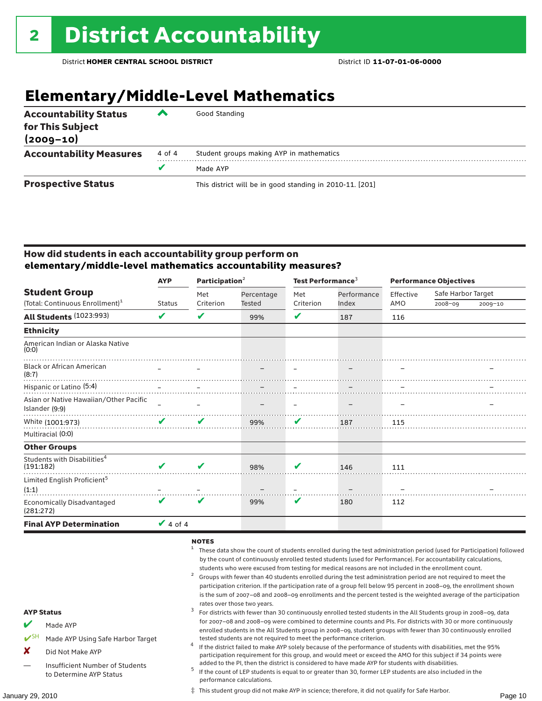### **Elementary/Middle-Level Mathematics**

| <b>Accountability Status</b><br>for This Subject<br>$(2009 - 10)$ | ▰      | Good Standing                                            |
|-------------------------------------------------------------------|--------|----------------------------------------------------------|
| <b>Accountability Measures</b>                                    | 4 of 4 | Student groups making AYP in mathematics                 |
|                                                                   | v      | Made AYP                                                 |
| <b>Prospective Status</b>                                         |        | This district will be in good standing in 2010-11. [201] |

#### How did students in each accountability group perform on **elementary/middle-level mathematics accountability measures?**

|                                                      | <b>AYP</b>    | Participation <sup>2</sup> |            | Test Performance <sup>3</sup> |             | <b>Performance Objectives</b> |                    |             |
|------------------------------------------------------|---------------|----------------------------|------------|-------------------------------|-------------|-------------------------------|--------------------|-------------|
| <b>Student Group</b>                                 |               | Met                        | Percentage | Met                           | Performance | Effective                     | Safe Harbor Target |             |
| (Total: Continuous Enrollment) <sup>1</sup>          | <b>Status</b> | Criterion                  | Tested     | Criterion                     | Index       | AMO                           | $2008 - 09$        | $2009 - 10$ |
| All Students (1023:993)                              | V             | ✔                          | 99%        | V                             | 187         | 116                           |                    |             |
| <b>Ethnicity</b>                                     |               |                            |            |                               |             |                               |                    |             |
| American Indian or Alaska Native<br>(0:0)            |               |                            |            |                               |             |                               |                    |             |
| <b>Black or African American</b><br>(8:7)            |               |                            |            |                               |             |                               |                    |             |
| Hispanic or Latino (5:4)                             |               |                            |            |                               |             |                               |                    |             |
| Asian or Native Hawaiian/Other Pacific               |               |                            |            |                               |             |                               |                    |             |
| Islander (9:9)                                       |               |                            |            |                               |             |                               |                    |             |
| White (1001:973)                                     | V             | V                          | 99%        | V                             | 187         | 115                           |                    |             |
| Multiracial (0:0)                                    |               |                            |            |                               |             |                               |                    |             |
| <b>Other Groups</b>                                  |               |                            |            |                               |             |                               |                    |             |
| Students with Disabilities <sup>4</sup><br>(191:182) | ✔             | ✔                          | 98%        | V                             | 146         | 111                           |                    |             |
| Limited English Proficient <sup>5</sup><br>(1:1)     |               |                            |            |                               |             |                               |                    |             |
| <b>Economically Disadvantaged</b><br>(281:272)       | V             | V                          | 99%        | V                             | 180         | 112                           |                    |             |
| <b>Final AYP Determination</b>                       | $\vee$ 4 of 4 |                            |            |                               |             |                               |                    |             |

#### $NOTES$

- <sup>1</sup> These data show the count of students enrolled during the test administration period (used for Participation) followed by the count of continuously enrolled tested students (used for Performance). For accountability calculations,
- students who were excused from testing for medical reasons are not included in the enrollment count.<br><sup>2</sup> Groups with fewer than 40 students enrolled during the test administration period are not required to meet the participation criterion. If the participation rate of a group fell below 95 percent in 2008–09, the enrollment shown is the sum of 2007–08 and 2008–09 enrollments and the percent tested is the weighted average of the participation
- rates over those two years.<br><sup>3</sup> For districts with fewer than 30 continuously enrolled tested students in the All Students group in 2008–09, data for 2007–08 and 2008–09 were combined to determine counts and PIs. For districts with 30 or more continuously enrolled students in the All Students group in 2008–09, student groups with fewer than 30 continuously enrolled
- tested students are not required to meet the performance criterion. <sup>4</sup> If the district failed to make AYP solely because of the performance of students with disabilities, met the 95% participation requirement for this group, and would meet or exceed the AMO for this subject if 34 points were
- added to the PI, then the district is considered to have made AYP for students with disabilities.<br><sup>5</sup> If the count of LEP students is equal to or greater than 30, former LEP students are also included in the performance calculations.

‡ This student group did not make AYP in science; therefore, it did not qualify for Safe Harbor.

#### AYP Status

- Made AYP
- Made AYP Using Safe Harbor Target
- X Did Not Make AYP
- Insufficient Number of Students to Determine AYP Status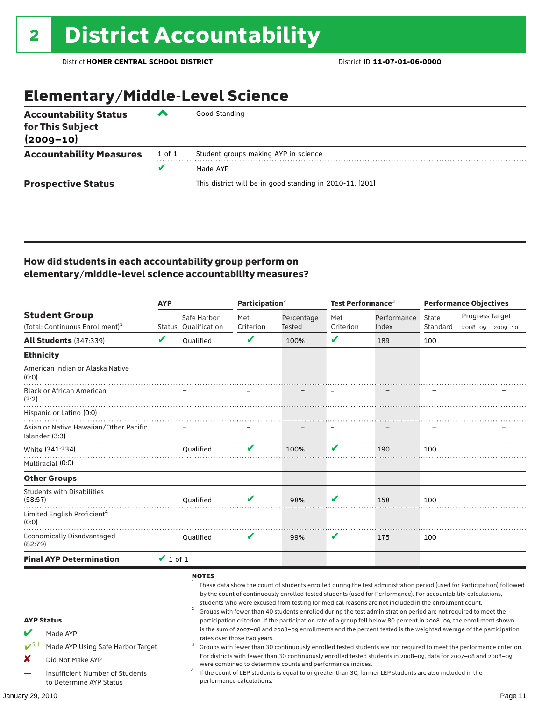### Elementary/Middle-Level Science

| <b>Accountability Status</b><br>for This Subject<br>$(2009 - 10)$ | ◚      | Good Standing                                            |
|-------------------------------------------------------------------|--------|----------------------------------------------------------|
| <b>Accountability Measures</b>                                    | 1 of 1 | Student groups making AYP in science                     |
|                                                                   | v      | Made AYP                                                 |
| <b>Prospective Status</b>                                         |        | This district will be in good standing in 2010-11. [201] |

#### How did students in each accountability group perform on elementary/middle-level science accountability measures?

| <b>AYP</b>                                                                                                     |               |                                     | Participation $2$           |                                                            | Test Performance $^3$ |                                                                                                                                                                                                                                                                                                                                          | <b>Performance Objectives</b> |                                                                                                                                                                                                                                                                                                                                                                                                                                                                                                                                                                                                               |  |
|----------------------------------------------------------------------------------------------------------------|---------------|-------------------------------------|-----------------------------|------------------------------------------------------------|-----------------------|------------------------------------------------------------------------------------------------------------------------------------------------------------------------------------------------------------------------------------------------------------------------------------------------------------------------------------------|-------------------------------|---------------------------------------------------------------------------------------------------------------------------------------------------------------------------------------------------------------------------------------------------------------------------------------------------------------------------------------------------------------------------------------------------------------------------------------------------------------------------------------------------------------------------------------------------------------------------------------------------------------|--|
| <b>Student Group</b><br>(Total: Continuous Enrollment) <sup>1</sup>                                            |               | Safe Harbor<br>Status Oualification | Met<br>Criterion            | Percentage<br>Tested                                       | Met<br>Criterion      | Performance<br>Index                                                                                                                                                                                                                                                                                                                     | State<br>Standard             | Progress Target<br>2008-09 2009-10                                                                                                                                                                                                                                                                                                                                                                                                                                                                                                                                                                            |  |
| <b>All Students (347:339)</b>                                                                                  | V             | Qualified                           | V                           | 100%                                                       | ✔                     | 189                                                                                                                                                                                                                                                                                                                                      | 100                           |                                                                                                                                                                                                                                                                                                                                                                                                                                                                                                                                                                                                               |  |
| <b>Ethnicity</b>                                                                                               |               |                                     |                             |                                                            |                       |                                                                                                                                                                                                                                                                                                                                          |                               |                                                                                                                                                                                                                                                                                                                                                                                                                                                                                                                                                                                                               |  |
| American Indian or Alaska Native<br>(0:0)                                                                      |               |                                     |                             |                                                            |                       |                                                                                                                                                                                                                                                                                                                                          |                               |                                                                                                                                                                                                                                                                                                                                                                                                                                                                                                                                                                                                               |  |
| <b>Black or African American</b><br>(3:2)                                                                      |               |                                     |                             |                                                            |                       |                                                                                                                                                                                                                                                                                                                                          |                               |                                                                                                                                                                                                                                                                                                                                                                                                                                                                                                                                                                                                               |  |
| Hispanic or Latino (0:0)                                                                                       |               |                                     |                             |                                                            |                       |                                                                                                                                                                                                                                                                                                                                          |                               |                                                                                                                                                                                                                                                                                                                                                                                                                                                                                                                                                                                                               |  |
| Asian or Native Hawaiian/Other Pacific<br>Islander (3:3)                                                       |               |                                     |                             |                                                            |                       |                                                                                                                                                                                                                                                                                                                                          |                               |                                                                                                                                                                                                                                                                                                                                                                                                                                                                                                                                                                                                               |  |
| White (341:334)<br>Multiracial (0:0)                                                                           |               | Oualified                           | V                           | 100%                                                       | V                     | 190                                                                                                                                                                                                                                                                                                                                      | 100                           |                                                                                                                                                                                                                                                                                                                                                                                                                                                                                                                                                                                                               |  |
| <b>Other Groups</b>                                                                                            |               |                                     |                             |                                                            |                       |                                                                                                                                                                                                                                                                                                                                          |                               |                                                                                                                                                                                                                                                                                                                                                                                                                                                                                                                                                                                                               |  |
| <b>Students with Disabilities</b><br>(58:57)                                                                   |               | <b>Oualified</b>                    |                             | 98%                                                        | V                     | 158                                                                                                                                                                                                                                                                                                                                      | 100                           |                                                                                                                                                                                                                                                                                                                                                                                                                                                                                                                                                                                                               |  |
| Limited English Proficient <sup>4</sup><br>(0:0)                                                               |               |                                     |                             |                                                            |                       |                                                                                                                                                                                                                                                                                                                                          |                               |                                                                                                                                                                                                                                                                                                                                                                                                                                                                                                                                                                                                               |  |
| <b>Economically Disadvantaged</b><br>(82:79)                                                                   |               | Qualified                           | v                           | 99%                                                        | V                     | 175                                                                                                                                                                                                                                                                                                                                      | 100                           |                                                                                                                                                                                                                                                                                                                                                                                                                                                                                                                                                                                                               |  |
| <b>Final AYP Determination</b>                                                                                 | $\vee$ 1 of 1 |                                     |                             |                                                            |                       |                                                                                                                                                                                                                                                                                                                                          |                               |                                                                                                                                                                                                                                                                                                                                                                                                                                                                                                                                                                                                               |  |
| <b>AYP Status</b><br>Made AYP<br>$\mathbf{v}$ SH<br>Made AYP Using Safe Harbor Target<br>X<br>Did Not Make AYP |               | <b>NOTES</b><br>3                   | rates over those two years. |                                                            |                       | by the count of continuously enrolled tested students (used for Performance). For accountability calculations,<br>students who were excused from testing for medical reasons are not included in the enrollment count.<br>Groups with fewer than 40 students enrolled during the test administration period are not required to meet the |                               | These data show the count of students enrolled during the test administration period (used for Participation) followed<br>participation criterion. If the participation rate of a group fell below 80 percent in 2008-09, the enrollment shown<br>is the sum of 2007-08 and 2008-09 enrollments and the percent tested is the weighted average of the participation<br>Groups with fewer than 30 continuously enrolled tested students are not required to meet the performance criterion.<br>For districts with fewer than 30 continuously enrolled tested students in 2008-09, data for 2007-08 and 2008-09 |  |
| Insufficient Number of Students                                                                                |               | 4                                   |                             | were combined to determine counts and performance indices. |                       | If the count of LEP students is equal to or greater than 30, former LEP students are also included in the                                                                                                                                                                                                                                |                               |                                                                                                                                                                                                                                                                                                                                                                                                                                                                                                                                                                                                               |  |
| to Determine AYP Status                                                                                        |               |                                     | performance calculations.   |                                                            |                       |                                                                                                                                                                                                                                                                                                                                          |                               |                                                                                                                                                                                                                                                                                                                                                                                                                                                                                                                                                                                                               |  |
| January 29, 2010                                                                                               |               |                                     |                             |                                                            |                       |                                                                                                                                                                                                                                                                                                                                          |                               | Page 11                                                                                                                                                                                                                                                                                                                                                                                                                                                                                                                                                                                                       |  |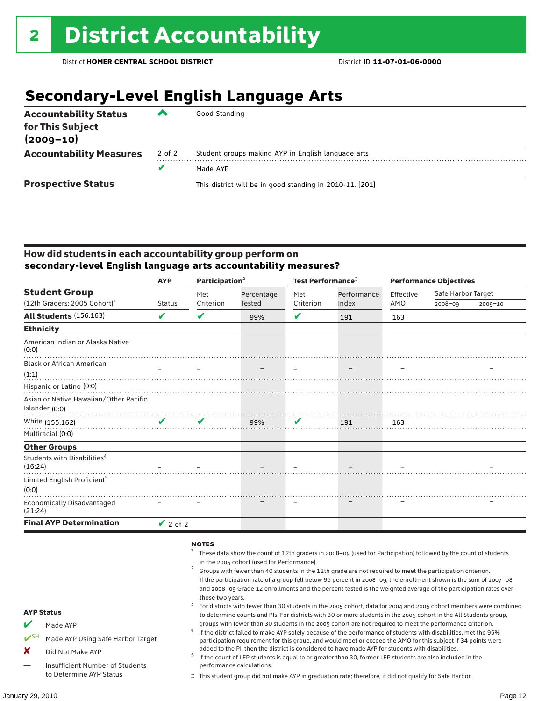### **Secondary-Level English Language Arts**

| <b>Accountability Status</b><br>for This Subject<br>$(2009 - 10)$ | ‴      | Good Standing                                            |
|-------------------------------------------------------------------|--------|----------------------------------------------------------|
| <b>Accountability Measures</b>                                    | 2 of 2 | Student groups making AYP in English language arts       |
|                                                                   |        | Made AYP                                                 |
| <b>Prospective Status</b>                                         |        | This district will be in good standing in 2010-11. [201] |

#### How did students in each accountability group perform on **secondary-level English language arts accountability measures?**

|                                                    | <b>AYP</b>                 | Participation <sup>2</sup> |            | Test Performance <sup>3</sup> |             | <b>Performance Objectives</b> |                    |             |
|----------------------------------------------------|----------------------------|----------------------------|------------|-------------------------------|-------------|-------------------------------|--------------------|-------------|
| <b>Student Group</b>                               |                            | Met                        | Percentage | Met                           | Performance | Effective                     | Safe Harbor Target |             |
| $(12th$ Graders: 2005 Cohort) <sup>1</sup>         | <b>Status</b>              | Criterion                  | Tested     | Criterion                     | Index       | AMO                           | 2008-09            | $2009 - 10$ |
| All Students (156:163)                             | ✔                          | V                          | 99%        | V                             | 191         | 163                           |                    |             |
| <b>Ethnicity</b>                                   |                            |                            |            |                               |             |                               |                    |             |
| American Indian or Alaska Native<br>(0:0)          |                            |                            |            |                               |             |                               |                    |             |
| <b>Black or African American</b>                   |                            |                            |            |                               |             |                               |                    |             |
| (1:1)                                              |                            |                            |            |                               |             |                               |                    |             |
| Hispanic or Latino (0:0)                           |                            |                            |            |                               |             |                               |                    |             |
| Asian or Native Hawaiian/Other Pacific             |                            |                            |            |                               |             |                               |                    |             |
| Islander (0:0)                                     |                            |                            |            |                               |             |                               |                    |             |
| White (155:162)                                    | $\boldsymbol{\mathcal{U}}$ | $\mathbf{v}$               | 99%        | $\mathbf{v}$                  | 191         | 163                           |                    |             |
| Multiracial (0:0)                                  |                            |                            |            |                               |             |                               |                    |             |
| <b>Other Groups</b>                                |                            |                            |            |                               |             |                               |                    |             |
| Students with Disabilities <sup>4</sup><br>(16:24) |                            |                            |            |                               |             |                               |                    |             |
| Limited English Proficient <sup>5</sup>            |                            |                            |            |                               |             |                               |                    |             |
| (0:0)                                              |                            |                            |            |                               |             |                               |                    |             |
| <b>Economically Disadvantaged</b><br>(21:24)       |                            |                            |            |                               |             |                               |                    |             |
| <b>Final AYP Determination</b>                     | $\vee$ 2 of 2              |                            |            |                               |             |                               |                    |             |

#### **NOTES**

AYP Status Made AYP Made AYP Using Safe Harbor Target X Did Not Make AYP — Insufficient Number of Students to Determine AYP Status <sup>1</sup> These data show the count of 12th graders in 2008–09 (used for Participation) followed by the count of students in the 2005 cohort (used for Performance).<br>Groups with fewer than 40 students in the 12th grade are not required to meet the participation criterion. If the participation rate of a group fell below 95 percent in 2008–09, the enrollment shown is the sum of 2007–08 and 2008–09 Grade 12 enrollments and the percent tested is the weighted average of the participation rates over those two years.<br><sup>3</sup> For districts with fewer than 30 students in the 2005 cohort, data for 2004 and 2005 cohort members were combined to determine counts and PIs. For districts with 30 or more students in the 2005 cohort in the All Students group, groups with fewer than 30 students in the 2005 cohort are not required to meet the performance criterion.<br>If the district failed to make AYP solely because of the performance of students with disabilities, met the 95% participation requirement for this group, and would meet or exceed the AMO for this subject if 34 points were added to the PI, then the district is considered to have made AYP for students with disabilities.<br> $^5$  If the count of LEP students is equal to or greater than 30, former LEP students are also included in the performance calculations. ‡ This student group did not make AYP in graduation rate; therefore, it did not qualify for Safe Harbor.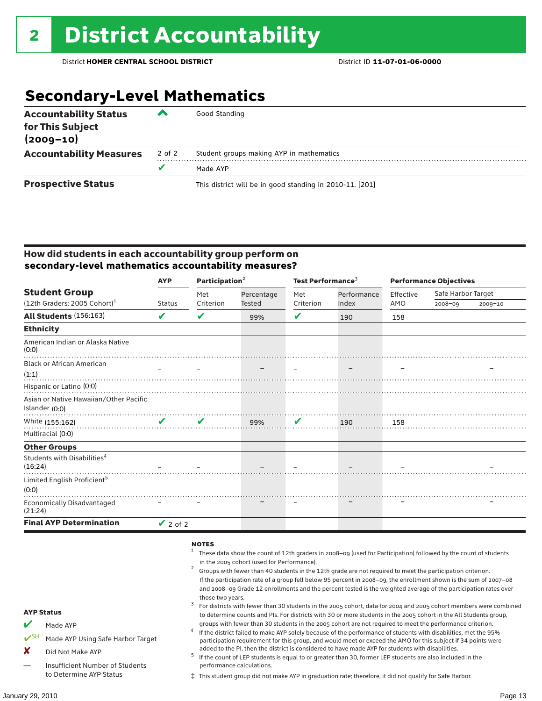### **Secondary-Level Mathematics**

| <b>Accountability Status</b><br>for This Subject<br>$(2009 - 10)$ | ▰      | Good Standing                                            |
|-------------------------------------------------------------------|--------|----------------------------------------------------------|
| <b>Accountability Measures</b>                                    | 2 of 2 | Student groups making AYP in mathematics                 |
|                                                                   | v      | Made AYP                                                 |
| <b>Prospective Status</b>                                         |        | This district will be in good standing in 2010-11. [201] |

#### How did students in each accountability group perform on **secondary-level mathematics accountability measures?**

|                                                    | <b>AYP</b>                 | Participation <sup>2</sup> |            | Test Performance <sup>3</sup> |             | <b>Performance Objectives</b> |                    |             |
|----------------------------------------------------|----------------------------|----------------------------|------------|-------------------------------|-------------|-------------------------------|--------------------|-------------|
| <b>Student Group</b>                               |                            | Met                        | Percentage | Met                           | Performance | Effective                     | Safe Harbor Target |             |
| $(12th$ Graders: 2005 Cohort) <sup>1</sup>         | <b>Status</b>              | Criterion                  | Tested     | Criterion                     | Index       | AMO                           | 2008-09            | $2009 - 10$ |
| All Students (156:163)                             | ✔                          | V                          | 99%        | V                             | 190         | 158                           |                    |             |
| <b>Ethnicity</b>                                   |                            |                            |            |                               |             |                               |                    |             |
| American Indian or Alaska Native<br>(0:0)          |                            |                            |            |                               |             |                               |                    |             |
| <b>Black or African American</b>                   |                            |                            |            |                               |             |                               |                    |             |
| (1:1)                                              |                            |                            |            |                               |             |                               |                    |             |
| Hispanic or Latino (0:0)                           |                            |                            |            |                               |             |                               |                    |             |
| Asian or Native Hawaiian/Other Pacific             |                            |                            |            |                               |             |                               |                    |             |
| Islander (0:0)                                     |                            |                            |            |                               |             |                               |                    |             |
| White (155:162)                                    | $\boldsymbol{\mathcal{U}}$ | $\mathbf{v}$               | 99%        | $\mathbf v$                   | 190         | 158                           |                    |             |
| Multiracial (0:0)                                  |                            |                            |            |                               |             |                               |                    |             |
| <b>Other Groups</b>                                |                            |                            |            |                               |             |                               |                    |             |
| Students with Disabilities <sup>4</sup><br>(16:24) |                            |                            |            |                               |             |                               |                    |             |
| Limited English Proficient <sup>5</sup>            |                            |                            |            |                               |             |                               |                    |             |
| (0:0)                                              |                            |                            |            |                               |             |                               |                    |             |
| Economically Disadvantaged<br>(21:24)              |                            |                            |            |                               |             |                               |                    |             |
| <b>Final AYP Determination</b>                     | $\vee$ 2 of 2              |                            |            |                               |             |                               |                    |             |

#### **NOTES**

AYP Status  $M$  Made AYP ✔SH Made AYP Using Safe Harbor Target X Did Not Make AYP — Insufficient Number of Students to Determine AYP Status <sup>1</sup> These data show the count of 12th graders in 2008–09 (used for Participation) followed by the count of students in the 2005 cohort (used for Performance).<br>Groups with fewer than 40 students in the 12th grade are not required to meet the participation criterion. If the participation rate of a group fell below 95 percent in 2008–09, the enrollment shown is the sum of 2007–08 and 2008–09 Grade 12 enrollments and the percent tested is the weighted average of the participation rates over those two years.<br><sup>3</sup> For districts with fewer than 30 students in the 2005 cohort, data for 2004 and 2005 cohort members were combined to determine counts and PIs. For districts with 30 or more students in the 2005 cohort in the All Students group, groups with fewer than 30 students in the 2005 cohort are not required to meet the performance criterion.<br>If the district failed to make AYP solely because of the performance of students with disabilities, met the 95% participation requirement for this group, and would meet or exceed the AMO for this subject if 34 points were added to the PI, then the district is considered to have made AYP for students with disabilities.<br> $^5$  If the count of LEP students is equal to or greater than 30, former LEP students are also included in the performance calculations. ‡ This student group did not make AYP in graduation rate; therefore, it did not qualify for Safe Harbor.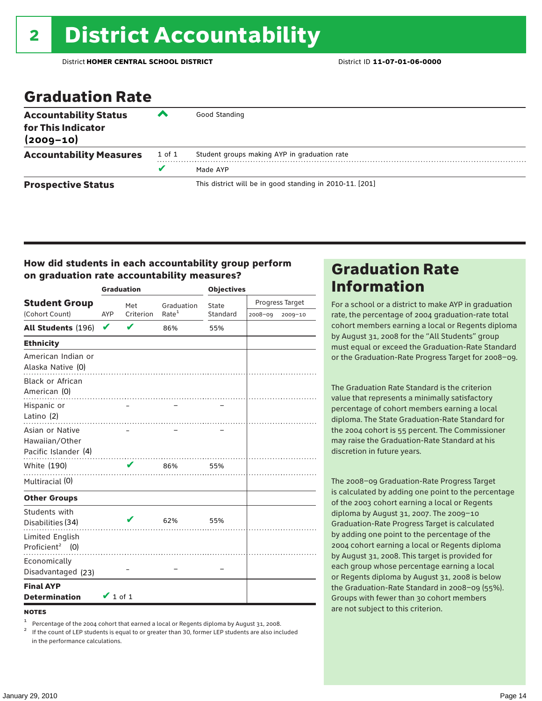### Graduation Rate

| <b>Accountability Status</b><br>for This Indicator<br>$(2009 - 10)$ | ‴      | Good Standing                                            |
|---------------------------------------------------------------------|--------|----------------------------------------------------------|
| <b>Accountability Measures</b>                                      | 1 of 1 | Student groups making AYP in graduation rate             |
|                                                                     | v      | Made AYP                                                 |
| <b>Prospective Status</b>                                           |        | This district will be in good standing in 2010-11. [201] |

#### How did students in each accountability group perform on graduation rate accountability measures?

|                                                           |               | <b>Graduation</b> |                   | <b>Objectives</b> |         |                 |  |
|-----------------------------------------------------------|---------------|-------------------|-------------------|-------------------|---------|-----------------|--|
| <b>Student Group</b>                                      |               | Met               | Graduation        | State             |         | Progress Target |  |
| (Cohort Count)                                            | AYP           | Criterion         | Rate <sup>1</sup> | Standard          | 2008-09 | 2009-10         |  |
| All Students (196)                                        | V             | ✔                 | 86%               | 55%               |         |                 |  |
| <b>Ethnicity</b>                                          |               |                   |                   |                   |         |                 |  |
| American Indian or<br>Alaska Native (0)                   |               |                   |                   |                   |         |                 |  |
| <b>Black or African</b><br>American (0)<br>Hispanic or    |               |                   |                   |                   |         |                 |  |
| Latino (2)                                                |               |                   |                   |                   |         |                 |  |
| Asian or Native<br>Hawaiian/Other<br>Pacific Islander (4) |               |                   |                   |                   |         |                 |  |
| White (190)                                               |               |                   | .<br>86%          | 55%               |         |                 |  |
| Multiracial (0)                                           |               |                   |                   |                   |         |                 |  |
| <b>Other Groups</b>                                       |               |                   |                   |                   |         |                 |  |
| Students with<br>Disabilities (34)                        |               |                   | 62%               | 55%               |         |                 |  |
| Limited English<br>Proficient <sup>2</sup> (0)            |               |                   |                   |                   |         |                 |  |
| Economically<br>Disadvantaged (23)                        |               |                   |                   |                   |         |                 |  |
| <b>Final AYP</b><br><b>Determination</b>                  | $\vee$ 1 of 1 |                   |                   |                   |         |                 |  |

**NOTES** 

<sup>1</sup> Percentage of the 2004 cohort that earned a local or Regents diploma by August 31, 2008.<br><sup>2</sup> If the count of LEP students is equal to or greater than 30, former LEP students are also included in the performance calculations.

### Graduation Rate Information

For a school or a district to make AYP in graduation rate, the percentage of 2004 graduation-rate total cohort members earning a local or Regents diploma by August 31, 2008 for the "All Students" group must equal or exceed the Graduation-Rate Standard or the Graduation-Rate Progress Target for 2008–09.

The Graduation Rate Standard is the criterion value that represents a minimally satisfactory percentage of cohort members earning a local diploma. The State Graduation-Rate Standard for the 2004 cohort is 55 percent. The Commissioner may raise the Graduation-Rate Standard at his discretion in future years.

The 2008–09 Graduation-Rate Progress Target is calculated by adding one point to the percentage of the 2003 cohort earning a local or Regents diploma by August 31, 2007. The 2009–10 Graduation-Rate Progress Target is calculated by adding one point to the percentage of the 2004 cohort earning a local or Regents diploma by August 31, 2008. This target is provided for each group whose percentage earning a local or Regents diploma by August 31, 2008 is below the Graduation-Rate Standard in 2008–09 (55%). Groups with fewer than 30 cohort members are not subject to this criterion.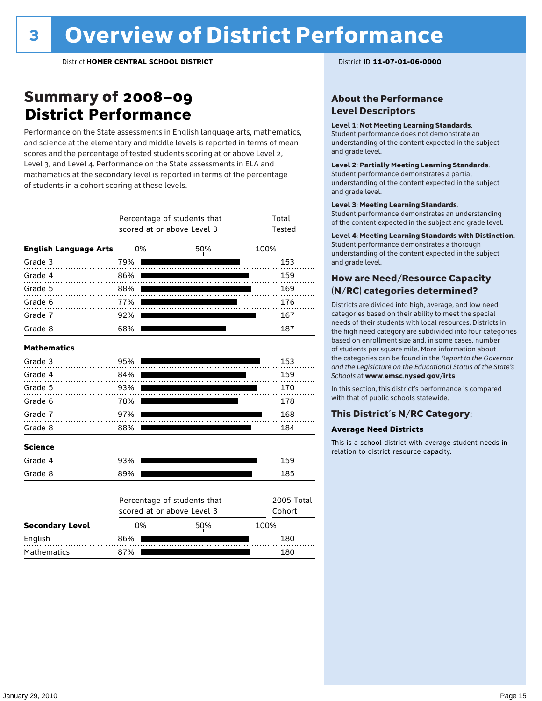### Summary of 2008–09 **District Performance**

Performance on the State assessments in English language arts, mathematics, and science at the elementary and middle levels is reported in terms of mean scores and the percentage of tested students scoring at or above Level 2, Level 3, and Level 4. Performance on the State assessments in ELA and mathematics at the secondary level is reported in terms of the percentage of students in a cohort scoring at these levels.

|                              | Percentage of students that<br>scored at or above Level 3 | Total<br>Tested                                           |     |                      |
|------------------------------|-----------------------------------------------------------|-----------------------------------------------------------|-----|----------------------|
| <b>English Language Arts</b> |                                                           | 0%                                                        | 50% | 100%                 |
| Grade 3                      | 79%                                                       |                                                           |     | 153                  |
| Grade 4                      | 86%                                                       |                                                           |     | 159                  |
| Grade 5                      | 88%                                                       |                                                           |     | 169                  |
| Grade 6                      | 77%                                                       |                                                           |     | 176                  |
| Grade 7                      | 92%                                                       |                                                           |     | 167                  |
| Grade 8                      | 68%                                                       |                                                           |     | 187                  |
| <b>Mathematics</b>           |                                                           |                                                           |     |                      |
| Grade 3                      | 95%                                                       |                                                           |     | 153                  |
| Grade 4                      | 84%                                                       |                                                           |     | 159                  |
| Grade 5                      | 93%                                                       |                                                           |     | 170                  |
| Grade 6                      | 78%                                                       |                                                           |     | 178                  |
| Grade 7                      | 97%                                                       |                                                           |     | 168                  |
| Grade 8                      | 88%                                                       |                                                           |     | 184                  |
| <b>Science</b>               |                                                           |                                                           |     |                      |
| Grade 4                      | 93%                                                       |                                                           |     | 159                  |
| Grade 8                      | 89%                                                       |                                                           |     | 185                  |
|                              |                                                           | Percentage of students that<br>scored at or above Level 3 |     | 2005 Total<br>Cohort |
| <b>Secondary Level</b>       |                                                           | 0%                                                        | 50% | 100%                 |

English 86% 180 180 180 180 180 180 Mathematics 87% **180** 87% 180

#### About the Performance Level Descriptors

#### Level 1: Not Meeting Learning Standards.

Student performance does not demonstrate an understanding of the content expected in the subject and grade level.

#### Level 2: Partially Meeting Learning Standards.

Student performance demonstrates a partial understanding of the content expected in the subject and grade level.

#### Level 3: Meeting Learning Standards.

Student performance demonstrates an understanding of the content expected in the subject and grade level.

#### Level 4: Meeting Learning Standards with Distinction.

Student performance demonstrates a thorough understanding of the content expected in the subject and grade level.

#### How are Need/Resource Capacity (N/RC) categories determined?

Districts are divided into high, average, and low need categories based on their ability to meet the special needs of their students with local resources. Districts in the high need category are subdivided into four categories based on enrollment size and, in some cases, number of students per square mile. More information about the categories can be found in the *Report to the Governor and the Legislature on the Educational Status of the State's Schools* at www.emsc.nysed.gov/irts.

In this section, this district's performance is compared with that of public schools statewide.

#### This District's N/RC Category:

#### **Average Need Districts**

This is a school district with average student needs in relation to district resource capacity.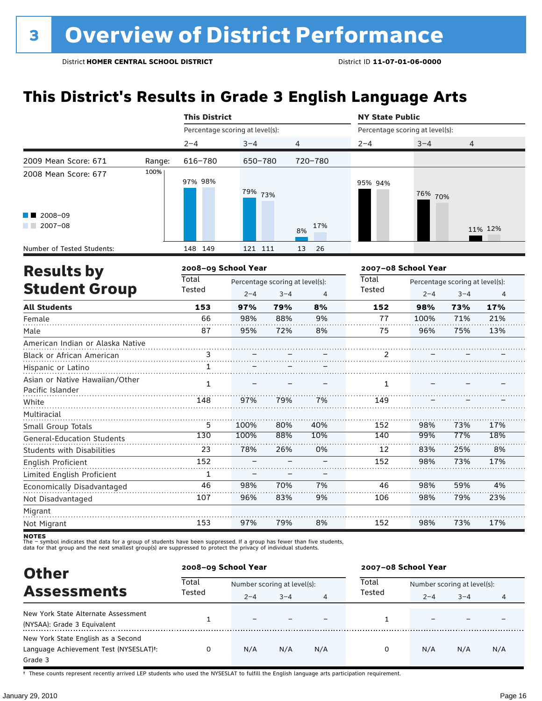### **This District's Results in Grade 3 English Language Arts**

|                                                    |        | <b>This District</b>            |         |                                            |           | <b>NY State Public</b>          |                                                       |     |                |  |
|----------------------------------------------------|--------|---------------------------------|---------|--------------------------------------------|-----------|---------------------------------|-------------------------------------------------------|-----|----------------|--|
|                                                    |        | Percentage scoring at level(s): |         |                                            |           | Percentage scoring at level(s): |                                                       |     |                |  |
|                                                    |        | $2 - 4$                         | $3 - 4$ | 4                                          |           | $2 - 4$                         | $3 - 4$                                               | 4   |                |  |
| 2009 Mean Score: 671                               | Range: | 616-780                         | 650-780 |                                            | 720-780   |                                 |                                                       |     |                |  |
| 2008 Mean Score: 677                               | 100%   | 97% 98%                         | 79% 73% |                                            |           | 95% 94%                         | 76% 70%                                               |     |                |  |
| 2008-09<br>2007-08<br><b>Contract Contract</b>     |        |                                 |         |                                            | 17%<br>8% |                                 |                                                       |     | 11% 12%        |  |
| Number of Tested Students:                         |        | 148 149                         | 121 111 |                                            | 26<br>13  |                                 |                                                       |     |                |  |
| <b>Results by</b>                                  |        | 2008-09 School Year             |         |                                            |           |                                 | 2007-08 School Year                                   |     |                |  |
| <b>Student Group</b>                               |        | <b>Total</b><br>Tested          | $2 - 4$ | Percentage scoring at level(s):<br>$3 - 4$ | 4         | Total<br>Tested                 | Percentage scoring at level(s):<br>$2 - 4$<br>$3 - 4$ |     | $\overline{4}$ |  |
| <b>All Students</b>                                |        | 153                             | 97%     | 79%                                        | 8%        | 152                             | 98%                                                   | 73% | 17%            |  |
| Female                                             |        | 66                              | 98%     | 88%                                        | 9%        | 77                              | 100%                                                  | 71% | 21%            |  |
| Male                                               |        | 87                              | 95%     | 72%                                        | 8%        | 75                              | 96%                                                   | 75% | 13%            |  |
| American Indian or Alaska Native                   |        |                                 |         |                                            |           |                                 |                                                       |     |                |  |
| Black or African American                          |        | 3                               |         |                                            |           | 2                               |                                                       |     |                |  |
| Hispanic or Latino                                 |        | 1                               |         |                                            |           |                                 |                                                       |     |                |  |
| Asian or Native Hawaiian/Other<br>Pacific Islander |        | $\mathbf{1}$                    |         |                                            |           | 1                               |                                                       |     |                |  |
| White                                              |        | 148                             | 97%     | 79%                                        | 7%        | 149                             |                                                       |     |                |  |
| Multiracial<br>Small Group Totals                  |        | 5                               | 100%    | 80%                                        | 40%       | 152                             | 98%                                                   | 73% | 17%            |  |
| <b>General-Education Students</b>                  |        | 130                             | 100%    | 88%                                        | 10%       | 140                             | 99%                                                   | 77% | 18%            |  |
| <b>Students with Disabilities</b>                  |        | 23                              | 78%     | 26%                                        | 0%        | 12                              | 83%                                                   | 25% | 8%             |  |
| English Proficient                                 |        | 152                             |         |                                            |           | 152                             | 98%                                                   | 73% | 17%            |  |
| Limited English Proficient                         |        | $\mathbf{1}$                    |         |                                            |           |                                 |                                                       |     |                |  |
| Economically Disadvantaged                         |        | 46                              | 98%     | 70%                                        | 7%        | 46                              | 98%                                                   | 59% | 4%             |  |
| Not Disadvantaged                                  |        | 107                             | 96%     | 83%                                        | 9%        | 106                             | 98%                                                   | 79% | 23%            |  |
| Migrant                                            |        |                                 |         |                                            |           |                                 |                                                       |     |                |  |
| Not Migrant                                        |        | 153                             | 97%     | 79%                                        | 8%        | 152                             | 98%                                                   | 73% | 17%            |  |

**NOTES**<br>The – symbol indicates that data for a group of students have been suppressed. If a group has fewer than five students,<br>data for that group and the next smallest group(s) are suppressed to protect the privacy of in

| <b>Other</b>                                        | 2008-09 School Year |                             |         |     | 2007-08 School Year |                             |         |     |  |
|-----------------------------------------------------|---------------------|-----------------------------|---------|-----|---------------------|-----------------------------|---------|-----|--|
| <b>Assessments</b>                                  | Total<br>Tested     | Number scoring at level(s): |         |     | Total               | Number scoring at level(s): |         |     |  |
|                                                     |                     | $2 - 4$                     | $3 - 4$ | 4   | Tested              | $2 - 4$                     | $3 - 4$ | 4   |  |
| New York State Alternate Assessment                 |                     | -                           |         |     |                     |                             |         |     |  |
| (NYSAA): Grade 3 Equivalent                         |                     |                             |         |     |                     |                             |         |     |  |
| New York State English as a Second                  |                     |                             |         |     |                     |                             |         |     |  |
| Language Achievement Test (NYSESLAT) <sup>+</sup> : | 0                   | N/A                         | N/A     | N/A | 0                   | N/A                         | N/A     | N/A |  |
| Grade 3                                             |                     |                             |         |     |                     |                             |         |     |  |

† These counts represent recently arrived LEP students who used the NYSESLAT to fulfill the English language arts participation requirement.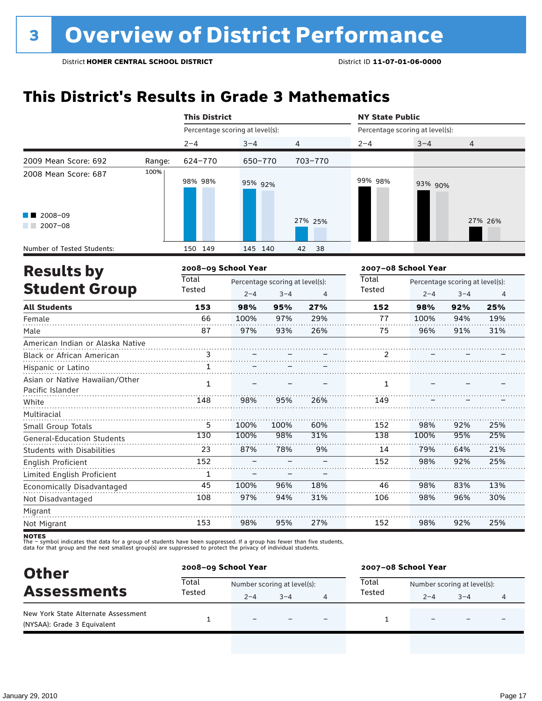### **This District's Results in Grade 3 Mathematics**

|                                                               |        | <b>This District</b><br><b>NY State Public</b> |                                            |             |            |                                 |                     |                                            |                |  |
|---------------------------------------------------------------|--------|------------------------------------------------|--------------------------------------------|-------------|------------|---------------------------------|---------------------|--------------------------------------------|----------------|--|
|                                                               |        | Percentage scoring at level(s):                |                                            |             |            | Percentage scoring at level(s): |                     |                                            |                |  |
|                                                               |        | $2 - 4$                                        | $3 - 4$                                    |             | 4          | $2 - 4$                         | $3 - 4$             | 4                                          |                |  |
| 2009 Mean Score: 692                                          | Range: | 624-770                                        | 650-770                                    |             | 703-770    |                                 |                     |                                            |                |  |
| 2008 Mean Score: 687                                          | 100%   | 98% 98%                                        | 95% 92%                                    |             |            | 99% 98%                         | 93% 90%             |                                            |                |  |
| 2008-09<br>$2007 - 08$                                        |        |                                                |                                            |             | 27% 25%    |                                 |                     |                                            | 27% 26%        |  |
| Number of Tested Students:                                    |        | 150 149                                        | 145 140                                    |             | 38<br>42   |                                 |                     |                                            |                |  |
| <b>Results by</b>                                             |        | 2008-09 School Year                            |                                            |             |            |                                 | 2007-08 School Year |                                            |                |  |
| <b>Student Group</b>                                          |        | <b>Total</b><br>Tested                         | Percentage scoring at level(s):<br>$2 - 4$ | $3 - 4$     | 4          | Total<br>Tested                 | $2 - 4$             | Percentage scoring at level(s):<br>$3 - 4$ | $\overline{4}$ |  |
| <b>All Students</b>                                           |        | 153                                            | 98%                                        | 95%         | 27%        | 152                             | 98%                 | 92%                                        | 25%            |  |
| Female<br>Male                                                |        | 66<br>87                                       | 100%<br>97%                                | 97%<br>93%  | 29%<br>26% | 77<br>75                        | 100%<br>96%         | 94%<br>91%                                 | 19%<br>31%     |  |
| American Indian or Alaska Native<br>Black or African American |        | 3                                              |                                            |             |            | 2                               |                     |                                            |                |  |
| Hispanic or Latino<br>Asian or Native Hawaiian/Other          |        | 1<br>$\mathbf{1}$                              |                                            |             |            | $\mathbf{1}$                    |                     |                                            |                |  |
| Pacific Islander<br>White                                     |        | 148                                            | 98%                                        | 95%         | 26%        | 149                             |                     |                                            |                |  |
| Multiracial<br>Small Group Totals                             |        | 5<br>130                                       | 100%<br>100%                               | 100%<br>98% | 60%        | 152<br>138                      | 98%                 | 92%                                        | 25%<br>25%     |  |
| <b>General-Education Students</b>                             |        |                                                |                                            |             | 31%        |                                 | 100%                | 95%                                        |                |  |
| <b>Students with Disabilities</b>                             |        | 23<br>152                                      | 87%                                        | 78%         | 9%         | 14<br>152                       | 79%<br>98%          | 64%<br>92%                                 | 21%<br>25%     |  |
| <b>English Proficient</b>                                     |        | $\mathbf{1}$                                   |                                            |             |            |                                 |                     |                                            |                |  |
| Limited English Proficient                                    |        | 45                                             | 100%                                       | 96%         | 18%        | 46                              | 98%                 | 83%                                        | 13%            |  |
| Economically Disadvantaged<br>Not Disadvantaged               |        | 108                                            | 97%                                        | 94%         | 31%        | 106                             | 98%                 | 96%                                        | 30%            |  |
| Migrant                                                       |        |                                                |                                            |             |            |                                 |                     |                                            |                |  |
| Not Migrant                                                   |        | 153                                            | 98%                                        | 95%         | 27%        | 152                             | 98%                 | 92%                                        | 25%            |  |

| <b>Other</b>                                                       | 2008-09 School Year |                             |         | 2007-08 School Year |                             |         |   |  |
|--------------------------------------------------------------------|---------------------|-----------------------------|---------|---------------------|-----------------------------|---------|---|--|
| <b>Assessments</b>                                                 | Total               | Number scoring at level(s): |         | Total               | Number scoring at level(s): |         |   |  |
|                                                                    | Tested              | $2 - 4$                     | $3 - 4$ | Tested              | $2 - 4$                     | $3 - 4$ | 4 |  |
| New York State Alternate Assessment<br>(NYSAA): Grade 3 Equivalent |                     |                             |         |                     |                             |         |   |  |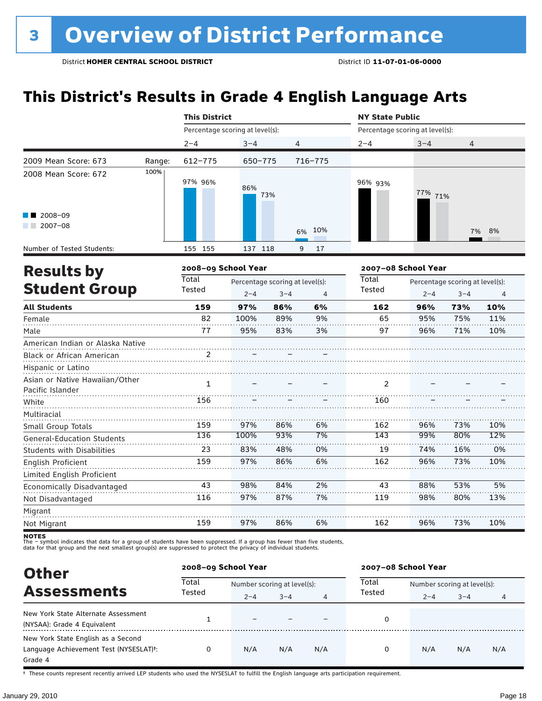### **This District's Results in Grade 4 English Language Arts**

|                                                               |        | <b>This District</b>            |         |                                            |           | <b>NY State Public</b>          |            |                                            |                |
|---------------------------------------------------------------|--------|---------------------------------|---------|--------------------------------------------|-----------|---------------------------------|------------|--------------------------------------------|----------------|
|                                                               |        | Percentage scoring at level(s): |         |                                            |           | Percentage scoring at level(s): |            |                                            |                |
|                                                               |        | $2 - 4$                         | $3 - 4$ | 4                                          |           | $2 - 4$                         | $3 - 4$    | 4                                          |                |
| 2009 Mean Score: 673                                          | Range: | 612-775                         | 650-775 |                                            | 716-775   |                                 |            |                                            |                |
| 2008 Mean Score: 672                                          | 100%   | 97% 96%                         | 86%     | 73%                                        |           | 96% 93%                         | 77%<br>71% |                                            |                |
| 2008-09<br>$\sqrt{2007-08}$                                   |        |                                 |         |                                            | 10%<br>6% |                                 |            | 7%                                         | 8%             |
| Number of Tested Students:                                    |        | 155 155                         | 137 118 |                                            | 17<br>9   |                                 |            |                                            |                |
| <b>Results by</b>                                             |        | 2008-09 School Year             |         |                                            |           | 2007-08 School Year             |            |                                            |                |
| <b>Student Group</b>                                          |        | Total<br>Tested                 | $2 - 4$ | Percentage scoring at level(s):<br>$3 - 4$ | 4         | Total<br>Tested                 | $2 - 4$    | Percentage scoring at level(s):<br>$3 - 4$ | $\overline{4}$ |
| <b>All Students</b>                                           |        | 159                             | 97%     | 86%                                        | 6%        | 162                             | 96%        | 73%                                        | 10%            |
| Female                                                        |        | 82                              | 100%    | 89%                                        | 9%        | 65                              | 95%        | 75%                                        | 11%            |
| Male                                                          |        | 77                              | 95%     | 83%                                        | 3%        | 97                              | 96%        | 71%                                        | 10%            |
| American Indian or Alaska Native<br>Black or African American |        | 2                               |         |                                            |           |                                 |            |                                            |                |
| Hispanic or Latino                                            |        |                                 |         |                                            |           |                                 |            |                                            |                |
| Asian or Native Hawaiian/Other<br>Pacific Islander            |        | $\mathbf{1}$                    |         |                                            |           | 2                               |            |                                            |                |
| White                                                         |        | 156                             |         |                                            |           | 160                             |            |                                            |                |
| Multiracial<br>Small Group Totals                             |        | 159                             | 97%     | 86%                                        | 6%        | 162                             | 96%        | 73%                                        | 10%            |
| <b>General-Education Students</b>                             |        | 136                             | 100%    | 93%                                        | 7%        | 143                             | 99%        | 80%                                        | 12%            |
| Students with Disabilities                                    |        | 23                              | 83%     | 48%                                        | 0%        | 19                              | 74%        | 16%                                        | 0%             |
| English Proficient                                            |        | 159                             | 97%     | 86%                                        | 6%        | 162                             | 96%        | 73%                                        | 10%            |
| Limited English Proficient                                    |        |                                 |         |                                            |           |                                 |            |                                            |                |
| Economically Disadvantaged                                    |        | 43                              | 98%     | 84%                                        | 2%        | 43                              | 88%        | 53%                                        | 5%             |
| Not Disadvantaged                                             |        | 116                             | 97%     | 87%                                        | 7%        | 119                             | 98%        | 80%                                        | 13%            |
| Migrant                                                       |        |                                 |         |                                            |           |                                 |            |                                            |                |
| Not Migrant                                                   |        | 159                             | 97%     | 86%                                        | 6%        | 162                             | 96%        | 73%                                        | 10%            |

**NOTES**<br>The – symbol indicates that data for a group of students have been suppressed. If a group has fewer than five students,<br>data for that group and the next smallest group(s) are suppressed to protect the privacy of in

| <b>Other</b>                           |        | 2008-09 School Year         |         |     | 2007-08 School Year |                             |         |     |  |
|----------------------------------------|--------|-----------------------------|---------|-----|---------------------|-----------------------------|---------|-----|--|
| <b>Assessments</b>                     | Total  | Number scoring at level(s): |         |     | Total<br>Tested     | Number scoring at level(s): |         |     |  |
|                                        | Tested | $2 - 4$                     | $3 - 4$ | 4   |                     | $2 - 4$                     | $3 - 4$ | 4   |  |
| New York State Alternate Assessment    |        |                             |         |     |                     |                             |         |     |  |
| (NYSAA): Grade 4 Equivalent            |        |                             |         |     | 0                   |                             |         |     |  |
| New York State English as a Second     |        |                             |         |     |                     |                             |         |     |  |
| Language Achievement Test (NYSESLAT)t: | 0      | N/A                         | N/A     | N/A | 0                   | N/A                         | N/A     | N/A |  |
| Grade 4                                |        |                             |         |     |                     |                             |         |     |  |

† These counts represent recently arrived LEP students who used the NYSESLAT to fulfill the English language arts participation requirement.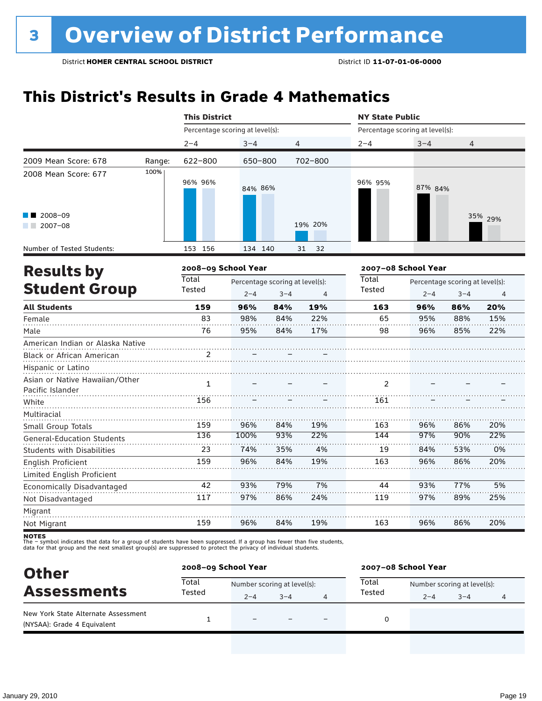### **This District's Results in Grade 4 Mathematics**

|                                   |        | <b>This District</b>            |         |                                 |          | <b>NY State Public</b>          |         |                                 |                |  |  |
|-----------------------------------|--------|---------------------------------|---------|---------------------------------|----------|---------------------------------|---------|---------------------------------|----------------|--|--|
|                                   |        | Percentage scoring at level(s): |         |                                 |          | Percentage scoring at level(s): |         |                                 |                |  |  |
|                                   |        | $2 - 4$                         | $3 - 4$ | 4                               |          | $2 - 4$                         | $3 - 4$ | 4                               |                |  |  |
| 2009 Mean Score: 678              | Range: | 622-800                         | 650-800 |                                 | 702-800  |                                 |         |                                 |                |  |  |
| 2008 Mean Score: 677              | 100%   | 96% 96%                         | 84% 86% |                                 |          | 96% 95%                         | 87% 84% |                                 |                |  |  |
| 2008-09<br>$2007 - 08$            |        |                                 |         |                                 | 19% 20%  |                                 |         |                                 | 35% 29%        |  |  |
| Number of Tested Students:        |        | 153 156                         | 134 140 |                                 | 31<br>32 |                                 |         |                                 |                |  |  |
| <b>Results by</b>                 |        | 2008-09 School Year             |         |                                 |          | 2007-08 School Year             |         |                                 |                |  |  |
|                                   |        | <b>Total</b>                    |         | Percentage scoring at level(s): |          | Total                           |         | Percentage scoring at level(s): |                |  |  |
| <b>Student Group</b>              |        | Tested                          | $2 - 4$ | $3 - 4$                         | 4        | Tested                          | $2 - 4$ | $3 - 4$                         | $\overline{4}$ |  |  |
| <b>All Students</b>               |        | 159                             | 96%     | 84%                             | 19%      | 163                             | 96%     | 86%                             | 20%            |  |  |
| Female                            |        | 83                              | 98%     | 84%                             | 22%      | 65                              | 95%     | 88%                             | 15%            |  |  |
| Male                              |        | 76                              | 95%     | 84%                             | 17%      | 98                              | 96%     | 85%                             | 22%            |  |  |
| American Indian or Alaska Native  |        |                                 |         |                                 |          |                                 |         |                                 |                |  |  |
| Black or African American         |        | 2                               |         |                                 |          |                                 |         |                                 |                |  |  |
| Hispanic or Latino                |        |                                 |         |                                 |          |                                 |         |                                 |                |  |  |
| Asian or Native Hawaiian/Other    |        | $\mathbf{1}$                    |         |                                 |          | 2                               |         |                                 |                |  |  |
| Pacific Islander                  |        |                                 |         |                                 |          |                                 |         |                                 |                |  |  |
| White                             |        | 156                             |         |                                 |          | 161                             |         |                                 |                |  |  |
| Multiracial                       |        |                                 |         |                                 |          |                                 |         |                                 |                |  |  |
| Small Group Totals                |        | 159                             | 96%     | 84%                             | 19%      | 163                             | 96%     | 86%                             | 20%            |  |  |
| <b>General-Education Students</b> |        | 136                             | 100%    | 93%                             | 22%      | 144                             | 97%     | 90%                             | 22%            |  |  |
| <b>Students with Disabilities</b> |        | 23                              | 74%     | 35%                             | 4%       | 19                              | 84%     | 53%                             | 0%             |  |  |
| English Proficient                |        | 159                             | 96%     | 84%                             | 19%      | 163                             | 96%     | 86%                             | 20%            |  |  |
| Limited English Proficient        |        |                                 |         |                                 |          |                                 |         |                                 |                |  |  |
| Economically Disadvantaged        |        | 42                              | 93%     | 79%                             | 7%       | 44                              | 93%     | 77%                             | 5%             |  |  |
| Not Disadvantaged                 |        | 117                             | 97%     | 86%                             | 24%      | 119                             | 97%     | 89%                             | 25%            |  |  |
| Migrant                           |        |                                 |         |                                 |          |                                 |         |                                 |                |  |  |
| Not Migrant                       |        | 159                             | 96%     | 84%                             | 19%      | 163                             | 96%     | 86%                             | 20%            |  |  |

| <b>Other</b>                                                       |        | 2008-09 School Year         |         |   | 2007-08 School Year |                             |         |  |  |
|--------------------------------------------------------------------|--------|-----------------------------|---------|---|---------------------|-----------------------------|---------|--|--|
| <b>Assessments</b>                                                 | Total  | Number scoring at level(s): |         |   | Total               | Number scoring at level(s): |         |  |  |
|                                                                    | Tested | $2 - 4$                     | $3 - 4$ | 4 | Tested              | $2 - 4$                     | $3 - 4$ |  |  |
| New York State Alternate Assessment<br>(NYSAA): Grade 4 Equivalent |        | $\overline{\phantom{0}}$    |         | - | 0                   |                             |         |  |  |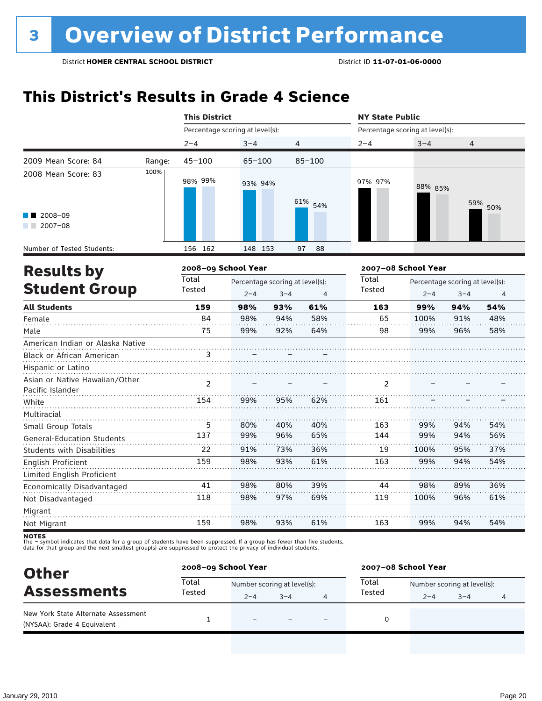### **This District's Results in Grade 4 Science**

|                                   |        | <b>This District</b>            |            |                                            |                | <b>NY State Public</b>          |                     |                                            |                |  |  |
|-----------------------------------|--------|---------------------------------|------------|--------------------------------------------|----------------|---------------------------------|---------------------|--------------------------------------------|----------------|--|--|
|                                   |        | Percentage scoring at level(s): |            |                                            |                | Percentage scoring at level(s): |                     |                                            |                |  |  |
|                                   |        | $2 - 4$                         | $3 - 4$    |                                            | $\overline{4}$ | $2 - 4$                         | $3 - 4$             | $\overline{4}$                             |                |  |  |
| 2009 Mean Score: 84               | Range: | $45 - 100$                      | $65 - 100$ |                                            | $85 - 100$     |                                 |                     |                                            |                |  |  |
| 2008 Mean Score: 83               | 100%   | 98% 99%                         | 93% 94%    |                                            | 61% 54%        | 97% 97%                         | 88% 85%             | 59%                                        |                |  |  |
| 2008-09<br>$2007 - 08$            |        |                                 |            |                                            |                |                                 |                     |                                            | 50%            |  |  |
| Number of Tested Students:        |        | 156 162                         | 148 153    |                                            | 88<br>97       |                                 |                     |                                            |                |  |  |
| <b>Results by</b>                 |        | 2008-09 School Year             |            |                                            |                |                                 | 2007-08 School Year |                                            |                |  |  |
| <b>Student Group</b>              |        | <b>Total</b><br>Tested          | $2 - 4$    | Percentage scoring at level(s):<br>$3 - 4$ | 4              | <b>Total</b><br>Tested          | $2 - 4$             | Percentage scoring at level(s):<br>$3 - 4$ | $\overline{4}$ |  |  |
| <b>All Students</b>               |        | 159                             | 98%        | 93%                                        | 61%            | 163                             | 99%                 | 94%                                        | 54%            |  |  |
| Female                            |        | 84                              | 98%        | 94%                                        | 58%            | 65                              | 100%                | 91%                                        | 48%            |  |  |
| Male                              |        | 75                              | 99%        | 92%                                        | 64%            | 98                              | 99%                 | 96%                                        | 58%            |  |  |
| American Indian or Alaska Native  |        |                                 |            |                                            |                |                                 |                     |                                            |                |  |  |
| Black or African American         |        | 3                               |            |                                            |                |                                 |                     |                                            |                |  |  |
| Hispanic or Latino                |        |                                 |            |                                            |                |                                 |                     |                                            |                |  |  |
| Asian or Native Hawaiian/Other    |        | 2                               |            |                                            |                | 2                               |                     |                                            |                |  |  |
| Pacific Islander                  |        |                                 |            |                                            |                |                                 |                     |                                            |                |  |  |
| White                             |        | 154                             | 99%        | 95%                                        | 62%            | 161                             |                     |                                            |                |  |  |
| Multiracial                       |        |                                 |            |                                            |                |                                 |                     |                                            |                |  |  |
| Small Group Totals                |        | 5                               | 80%        | 40%                                        | 40%            | 163                             | 99%                 | 94%                                        | 54%            |  |  |
| <b>General-Education Students</b> |        | 137                             | 99%        | 96%                                        | 65%            | 144                             | 99%                 | 94%                                        | 56%            |  |  |
| <b>Students with Disabilities</b> |        | 22                              | 91%        | 73%                                        | 36%            | 19                              | 100%                | 95%                                        | 37%            |  |  |
| English Proficient                |        | 159                             | 98%        | 93%                                        | 61%            | 163                             | 99%                 | 94%                                        | 54%            |  |  |
| Limited English Proficient        |        |                                 |            |                                            |                |                                 |                     |                                            |                |  |  |
| Economically Disadvantaged        |        | 41                              | 98%        | 80%                                        | 39%            | 44                              | 98%                 | 89%                                        | 36%            |  |  |
| Not Disadvantaged                 |        | 118                             | 98%        | 97%                                        | 69%            | 119                             | 100%                | 96%                                        | 61%            |  |  |
| Migrant                           |        |                                 |            |                                            |                |                                 |                     |                                            |                |  |  |
| Not Migrant                       |        | 159                             | 98%        | 93%                                        | 61%            | 163                             | 99%                 | 94%                                        | 54%            |  |  |

| <b>Other</b>                                                       | 2008-09 School Year |                             |         |  | 2007-08 School Year |                             |         |  |  |
|--------------------------------------------------------------------|---------------------|-----------------------------|---------|--|---------------------|-----------------------------|---------|--|--|
| <b>Assessments</b>                                                 | Total               | Number scoring at level(s): |         |  | Total               | Number scoring at level(s): |         |  |  |
|                                                                    | Tested              | $2 - 4$                     | $3 - 4$ |  | Tested              | $2 - 4$                     | $3 - 4$ |  |  |
| New York State Alternate Assessment<br>(NYSAA): Grade 4 Equivalent |                     | $\overline{\phantom{0}}$    |         |  | 0                   |                             |         |  |  |
|                                                                    |                     |                             |         |  |                     |                             |         |  |  |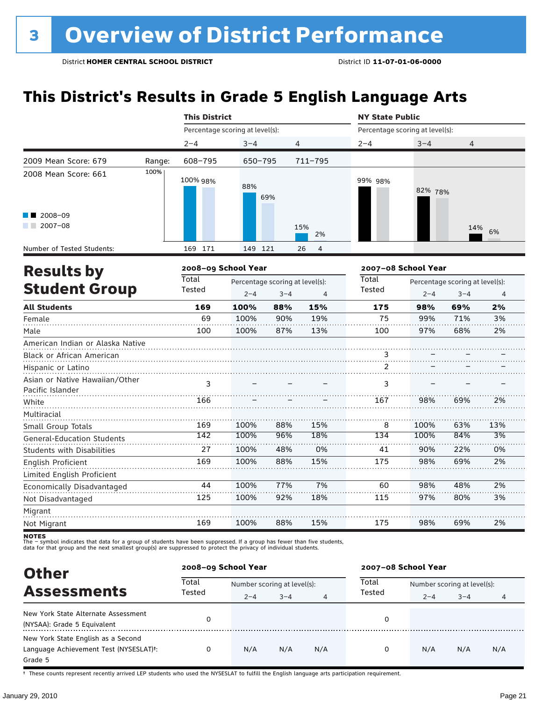### **This District's Results in Grade 5 English Language Arts**

|                                                    |        | <b>This District</b>            |                                            |                |             | <b>NY State Public</b>          |         |                                            |     |
|----------------------------------------------------|--------|---------------------------------|--------------------------------------------|----------------|-------------|---------------------------------|---------|--------------------------------------------|-----|
|                                                    |        | Percentage scoring at level(s): |                                            |                |             | Percentage scoring at level(s): |         |                                            |     |
|                                                    |        | $2 - 4$                         | $3 - 4$                                    | $\overline{4}$ |             | $2 - 4$                         | $3 - 4$ | 4                                          |     |
| 2009 Mean Score: 679                               | Range: | 608-795                         | $650 - 795$                                |                | $711 - 795$ |                                 |         |                                            |     |
| 2008 Mean Score: 661                               | 100%   | 100% 98%                        | 88%                                        | 69%            |             | 99% 98%                         | 82% 78% |                                            |     |
| 2008-09<br>$2007 - 08$                             |        |                                 |                                            |                | 15%<br>2%   |                                 |         | 14%                                        | 6%  |
| Number of Tested Students:                         |        | 169 171                         | 149 121                                    |                | 26<br>4     |                                 |         |                                            |     |
| <b>Results by</b>                                  |        | 2008-09 School Year             |                                            |                |             | 2007-08 School Year             |         |                                            |     |
| <b>Student Group</b>                               |        | Total<br>Tested                 | Percentage scoring at level(s):<br>$2 - 4$ | $3 - 4$        | 4           | Total<br>Tested                 | $2 - 4$ | Percentage scoring at level(s):<br>$3 - 4$ | 4   |
| <b>All Students</b>                                |        | 169                             | 100%                                       | 88%            | 15%         | 175                             | 98%     | 69%                                        | 2%  |
| Female                                             |        | 69                              | 100%                                       | 90%            | 19%         | 75                              | 99%     | 71%                                        | 3%  |
| Male                                               |        | 100                             | 100%                                       | 87%            | 13%         | 100                             | 97%     | 68%                                        | 2%  |
| American Indian or Alaska Native                   |        |                                 |                                            |                |             |                                 |         |                                            |     |
| <b>Black or African American</b>                   |        |                                 |                                            |                |             | 3                               |         |                                            |     |
| Hispanic or Latino                                 |        |                                 |                                            |                |             | 2                               |         |                                            |     |
| Asian or Native Hawaiian/Other<br>Pacific Islander |        | 3                               |                                            |                |             | 3                               |         |                                            |     |
| White                                              |        | 166                             |                                            |                |             | 167                             | 98%     | 69%                                        | 2%  |
| Multiracial<br>Small Group Totals                  |        | 169                             | 100%                                       | 88%            | 15%         | 8                               | 100%    | 63%                                        | 13% |
| <b>General-Education Students</b>                  |        | 142                             | 100%                                       | 96%            | 18%         | 134                             | 100%    | 84%                                        | 3%  |
| <b>Students with Disabilities</b>                  |        | 27                              | 100%                                       | 48%            | 0%          | 41                              | 90%     | 22%                                        | 0%  |
| English Proficient                                 |        | 169                             | 100%                                       | 88%            | 15%         | 175                             | 98%     | 69%                                        | 2%  |
| Limited English Proficient                         |        |                                 |                                            |                |             |                                 |         |                                            |     |
| Economically Disadvantaged                         |        | 44                              | 100%                                       | 77%            | 7%          | 60                              | 98%     | 48%                                        | 2%  |
| Not Disadvantaged                                  |        | 125                             | 100%                                       | 92%            | 18%         | 115                             | 97%     | 80%                                        | 3%  |
| Migrant                                            |        |                                 |                                            |                |             |                                 |         |                                            |     |
| Not Migrant                                        |        | 169                             | 100%                                       | 88%            | 15%         | 175                             | 98%     | 69%                                        | 2%  |

**NOTES**<br>The – symbol indicates that data for a group of students have been suppressed. If a group has fewer than five students,<br>data for that group and the next smallest group(s) are suppressed to protect the privacy of in

| <b>Other</b>                                                                                         |                 | 2008-09 School Year         |         |     | 2007-08 School Year |                             |         |     |  |
|------------------------------------------------------------------------------------------------------|-----------------|-----------------------------|---------|-----|---------------------|-----------------------------|---------|-----|--|
| <b>Assessments</b>                                                                                   | Total<br>Tested | Number scoring at level(s): |         |     | Total               | Number scoring at level(s): |         |     |  |
|                                                                                                      |                 | $2 - 4$                     | $3 - 4$ | 4   | Tested              | $2 - 4$                     | $3 - 4$ | 4   |  |
| New York State Alternate Assessment<br>(NYSAA): Grade 5 Equivalent                                   | 0               |                             |         |     | 0                   |                             |         |     |  |
| New York State English as a Second<br>Language Achievement Test (NYSESLAT) <sup>t</sup> :<br>Grade 5 | 0               | N/A                         | N/A     | N/A | 0                   | N/A                         | N/A     | N/A |  |

† These counts represent recently arrived LEP students who used the NYSESLAT to fulfill the English language arts participation requirement.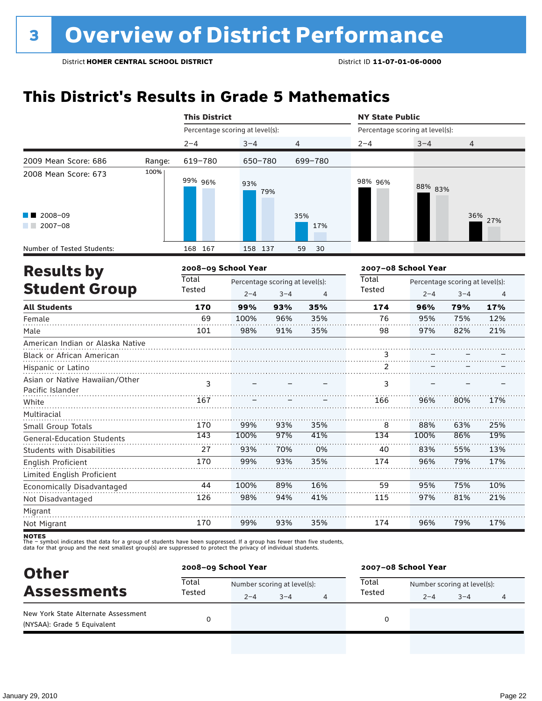### **This District's Results in Grade 5 Mathematics**

|                                                                          |        | <b>This District</b>            |         |                                 |                | <b>NY State Public</b>          |         |                                 |                |
|--------------------------------------------------------------------------|--------|---------------------------------|---------|---------------------------------|----------------|---------------------------------|---------|---------------------------------|----------------|
|                                                                          |        | Percentage scoring at level(s): |         |                                 |                | Percentage scoring at level(s): |         |                                 |                |
|                                                                          |        | $2 - 4$                         | $3 - 4$ |                                 | 4              | $2 - 4$                         | $3 - 4$ | 4                               |                |
| 2009 Mean Score: 686                                                     | Range: | 619-780                         | 650-780 |                                 | 699-780        |                                 |         |                                 |                |
| 2008 Mean Score: 673                                                     | 100%   | 99% 96%                         | 93%     | 79%                             |                | 98% 96%                         | 88% 83% |                                 |                |
| 2008-09<br>$2007 - 08$                                                   |        |                                 |         |                                 | 35%<br>17%     |                                 |         |                                 | 36% 27%        |
| Number of Tested Students:                                               |        | 168 167                         | 158 137 |                                 | 30<br>59       |                                 |         |                                 |                |
| <b>Results by</b>                                                        |        | 2008-09 School Year             |         |                                 |                | 2007-08 School Year             |         |                                 |                |
|                                                                          |        | Total                           |         | Percentage scoring at level(s): |                | Total                           |         | Percentage scoring at level(s): |                |
| <b>Student Group</b>                                                     |        | Tested                          | $2 - 4$ | $3 - 4$                         | $\overline{4}$ | Tested                          | $2 - 4$ | $3 - 4$                         | $\overline{4}$ |
| <b>All Students</b>                                                      |        | 170                             | 99%     | 93%                             | 35%            | 174                             | 96%     | 79%                             | 17%            |
| Female                                                                   |        | 69                              | 100%    | 96%                             | 35%            | 76                              | 95%     | 75%                             | 12%            |
| Male                                                                     |        | 101                             | 98%     | 91%                             | 35%            | 98                              | 97%     | 82%                             | 21%            |
| American Indian or Alaska Native                                         |        |                                 |         |                                 |                |                                 |         |                                 |                |
| Black or African American                                                |        |                                 |         |                                 |                | 3<br>2                          |         |                                 |                |
| Hispanic or Latino<br>Asian or Native Hawaiian/Other<br>Pacific Islander |        | 3                               |         |                                 |                | 3                               |         |                                 |                |
| White                                                                    |        | 167                             |         |                                 |                | 166                             | 96%     | 80%                             | 17%            |
| Multiracial                                                              |        |                                 |         |                                 |                |                                 |         |                                 |                |
| Small Group Totals                                                       |        | 170                             | 99%     | 93%                             | 35%            | 8                               | 88%     | 63%                             | 25%            |
| General-Education Students                                               |        | 143                             | 100%    | 97%                             | 41%            | 134                             | 100%    | 86%                             | 19%            |
| <b>Students with Disabilities</b>                                        |        | 27                              | 93%     | 70%                             | 0%             | 40                              | 83%     | 55%                             | 13%            |
| English Proficient                                                       |        | 170                             | 99%     | 93%                             | 35%            | 174                             | 96%     | 79%                             | 17%            |
| Limited English Proficient                                               |        |                                 |         |                                 |                |                                 |         |                                 |                |
| Economically Disadvantaged                                               |        | 44                              | 100%    | 89%                             | 16%            | 59                              | 95%     | 75%                             | 10%            |
| Not Disadvantaged                                                        |        | 126                             | 98%     | 94%                             | 41%            | 115                             | 97%     | 81%                             | 21%            |
| Migrant                                                                  |        |                                 |         |                                 |                |                                 |         |                                 |                |
| Not Migrant                                                              |        | 170                             | 99%     | 93%                             | 35%            | 174                             | 96%     | 79%                             | 17%            |

| <b>Other</b>                                                       | 2008-09 School Year |                             |         |  | 2007-08 School Year |                             |         |   |  |
|--------------------------------------------------------------------|---------------------|-----------------------------|---------|--|---------------------|-----------------------------|---------|---|--|
| <b>Assessments</b>                                                 | Total<br>Tested     | Number scoring at level(s): |         |  | Total               | Number scoring at level(s): |         |   |  |
|                                                                    |                     | $2 - 4$                     | $3 - 4$ |  | Tested              | $2 - 4$                     | $3 - 4$ | 4 |  |
| New York State Alternate Assessment<br>(NYSAA): Grade 5 Equivalent |                     |                             |         |  | 0                   |                             |         |   |  |
|                                                                    |                     |                             |         |  |                     |                             |         |   |  |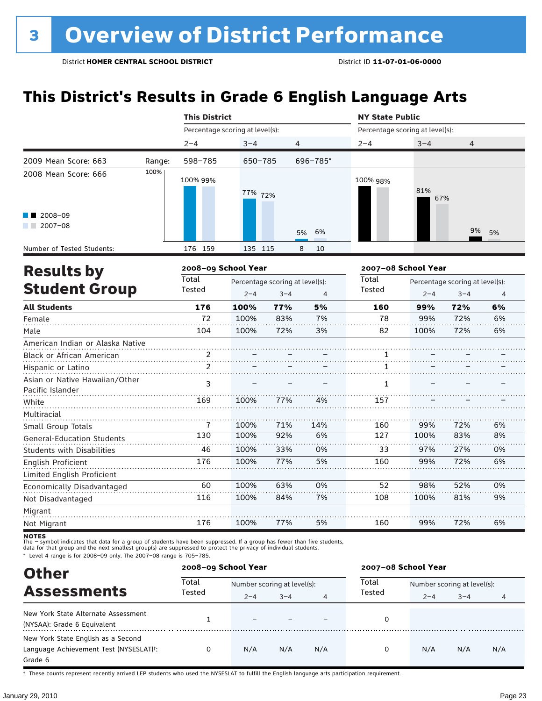### **This District's Results in Grade 6 English Language Arts**

|                                                               |        | <b>This District</b>            |         |                                                                         |          | <b>NY State Public</b>          |                     |                                            |                |  |
|---------------------------------------------------------------|--------|---------------------------------|---------|-------------------------------------------------------------------------|----------|---------------------------------|---------------------|--------------------------------------------|----------------|--|
|                                                               |        | Percentage scoring at level(s): |         |                                                                         |          | Percentage scoring at level(s): |                     |                                            |                |  |
|                                                               |        | $2 - 4$                         | $3 - 4$ | $\overline{4}$                                                          |          | $2 - 4$                         | $3 - 4$             | $\overline{4}$                             |                |  |
| 2009 Mean Score: 663                                          | Range: | 598-785                         | 650-785 |                                                                         | 696-785* |                                 |                     |                                            |                |  |
| 2008 Mean Score: 666                                          | 100%   | 100% 99%                        | 77% 72% |                                                                         |          | 100% 98%                        | 81%<br>67%          |                                            |                |  |
| $2008 - 09$<br>$2007 - 08$<br>a sa bar                        |        |                                 |         |                                                                         | 5%<br>6% |                                 |                     | 9%                                         | 5%             |  |
| Number of Tested Students:                                    |        | 176 159                         | 135 115 |                                                                         | 8<br>10  |                                 |                     |                                            |                |  |
| <b>Results by</b>                                             |        | 2008-09 School Year             |         |                                                                         |          |                                 | 2007-08 School Year |                                            |                |  |
| <b>Student Group</b>                                          |        | Total<br>Tested                 |         | Percentage scoring at level(s):<br>$2 - 4$<br>$3 - 4$<br>$\overline{4}$ |          |                                 | $2 - 4$             | Percentage scoring at level(s):<br>$3 - 4$ | $\overline{4}$ |  |
| <b>All Students</b>                                           |        | 176                             | 100%    | 77%                                                                     | 5%       | 160                             | 99%                 | 72%                                        | 6%             |  |
| Female                                                        |        | 72                              | 100%    | 83%                                                                     | 7%       | 78                              | 99%                 | 72%                                        | 6%             |  |
| Male                                                          |        | 104                             | 100%    | 72%                                                                     | 3%       | 82                              | 100%                | 72%                                        | 6%             |  |
| American Indian or Alaska Native<br>Black or African American |        | 2                               |         |                                                                         |          | 1                               |                     |                                            |                |  |
| Hispanic or Latino                                            |        | $\overline{c}$                  |         |                                                                         |          | 1                               |                     |                                            |                |  |
| Asian or Native Hawaiian/Other<br>Pacific Islander            |        | 3                               |         |                                                                         |          | $\mathbf{1}$                    |                     |                                            |                |  |
| White                                                         |        | 169                             | 100%    | 77%                                                                     | 4%       | 157                             |                     |                                            |                |  |
| Multiracial                                                   |        |                                 |         |                                                                         |          |                                 |                     |                                            |                |  |
| Small Group Totals                                            |        | 7                               | 100%    | 71%                                                                     | 14%      | 160                             | 99%                 | 72%                                        | 6%             |  |
| <b>General-Education Students</b>                             |        | 130                             | 100%    | 92%                                                                     | 6%       | 127                             | 100%                | 83%                                        | 8%             |  |
| <b>Students with Disabilities</b>                             |        | 46                              | 100%    | 33%                                                                     | 0%       | 33                              | 97%                 | 27%                                        | 0%             |  |
| English Proficient                                            |        | 176                             | 100%    | 77%                                                                     | 5%       | 160                             | 99%                 | 72%                                        | 6%             |  |
| Limited English Proficient                                    |        |                                 |         |                                                                         |          |                                 |                     |                                            |                |  |
| Economically Disadvantaged                                    |        | 60                              | 100%    | 63%                                                                     | 0%       | 52                              | 98%                 | 52%                                        | 0%             |  |
| Not Disadvantaged                                             |        | 116                             | 100%    | 84%                                                                     | 7%       | 108                             | 100%                | 81%                                        | 9%             |  |
| Migrant                                                       |        |                                 |         |                                                                         |          |                                 |                     |                                            |                |  |
| Not Migrant                                                   |        | 176                             | 100%    | 77%                                                                     | 5%       | 160                             | 99%                 | 72%                                        | 6%             |  |

**NOTES**<br>The – symbol indicates that data for a group of students have been suppressed. If a group has fewer than five students,<br>data for that group and the next smallest group(s) are suppressed to protect the privacy of in

\* Level 4 range is for 2008–09 only. The 2007–08 range is 705–785.

| <b>Other</b>                                                                            |                 | 2008-09 School Year      |                             |     | 2007-08 School Year |                             |         |     |  |
|-----------------------------------------------------------------------------------------|-----------------|--------------------------|-----------------------------|-----|---------------------|-----------------------------|---------|-----|--|
| <b>Assessments</b>                                                                      | Total<br>Tested |                          | Number scoring at level(s): |     |                     | Number scoring at level(s): |         |     |  |
|                                                                                         |                 | $2 - 4$                  | $3 - 4$                     | 4   | Tested              | $2 - 4$                     | $3 - 4$ | 4   |  |
| New York State Alternate Assessment<br>(NYSAA): Grade 6 Equivalent                      |                 | $\overline{\phantom{0}}$ |                             |     | 0                   |                             |         |     |  |
| New York State English as a Second<br>Language Achievement Test (NYSESLAT)t:<br>Grade 6 | 0               | N/A                      | N/A                         | N/A | 0                   | N/A                         | N/A     | N/A |  |

† These counts represent recently arrived LEP students who used the NYSESLAT to fulfill the English language arts participation requirement.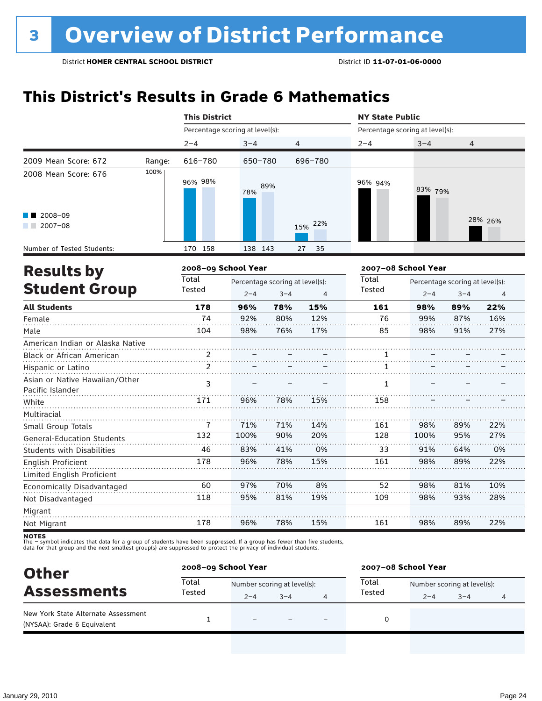### **This District's Results in Grade 6 Mathematics**

|                                                    |        | <b>This District</b>            |         |                                 |                | <b>NY State Public</b>          |         |                                 |         |  |
|----------------------------------------------------|--------|---------------------------------|---------|---------------------------------|----------------|---------------------------------|---------|---------------------------------|---------|--|
|                                                    |        | Percentage scoring at level(s): |         |                                 |                | Percentage scoring at level(s): |         |                                 |         |  |
|                                                    |        | $2 - 4$                         | $3 - 4$ | 4                               |                | $2 - 4$                         | $3 - 4$ | 4                               |         |  |
| 2009 Mean Score: 672                               | Range: | 616-780                         | 650-780 |                                 | 696-780        |                                 |         |                                 |         |  |
| 2008 Mean Score: 676                               | 100%   | 96% 98%                         | 78%     | 89%                             |                | 96% 94%                         | 83% 79% |                                 |         |  |
| 2008-09<br>$2007 - 08$                             |        |                                 |         |                                 | 22%<br>15%     |                                 |         |                                 | 28% 26% |  |
| Number of Tested Students:                         |        | 170 158                         | 138 143 |                                 | 27<br>35       |                                 |         |                                 |         |  |
| <b>Results by</b>                                  |        | 2008-09 School Year             |         |                                 |                | 2007-08 School Year             |         |                                 |         |  |
|                                                    |        | <b>Total</b>                    |         | Percentage scoring at level(s): |                | Total                           |         | Percentage scoring at level(s): |         |  |
| <b>Student Group</b>                               |        | Tested                          | $2 - 4$ | $3 - 4$                         | $\overline{4}$ | Tested                          | $2 - 4$ | $3 - 4$                         | 4       |  |
| <b>All Students</b>                                |        | 178                             | 96%     | 78%                             | 15%            | 161                             | 98%     | 89%                             | 22%     |  |
| Female                                             |        | 74                              | 92%     | 80%                             | 12%            | 76                              | 99%     | 87%                             | 16%     |  |
| Male                                               |        | 104                             | 98%     | 76%                             | 17%            | 85                              | 98%     | 91%                             | 27%     |  |
| American Indian or Alaska Native                   |        |                                 |         |                                 |                |                                 |         |                                 |         |  |
| Black or African American                          |        | 2                               |         |                                 |                | 1                               |         |                                 |         |  |
| Hispanic or Latino                                 |        | 2                               |         |                                 |                | 1                               |         |                                 |         |  |
| Asian or Native Hawaiian/Other<br>Pacific Islander |        | 3                               |         |                                 |                | $\mathbf{1}$                    |         |                                 |         |  |
| White                                              |        | 171                             | 96%     | 78%                             | 15%            | 158                             |         |                                 |         |  |
| Multiracial                                        |        |                                 |         |                                 |                |                                 |         |                                 |         |  |
| Small Group Totals                                 |        | 7                               | 71%     | 71%                             | 14%            | 161                             | 98%     | 89%                             | 22%     |  |
| <b>General-Education Students</b>                  |        | $\overline{132}$                | 100%    | 90%                             | 20%            | 128                             | 100%    | 95%                             | 27%     |  |
| <b>Students with Disabilities</b>                  |        | 46                              | 83%     | 41%                             | 0%             | 33                              | 91%     | 64%                             | 0%      |  |
| English Proficient                                 |        | 178                             | 96%     | 78%                             | 15%            | 161                             | 98%     | 89%                             | 22%     |  |
| Limited English Proficient                         |        |                                 |         |                                 |                |                                 |         |                                 |         |  |
| Economically Disadvantaged                         |        | 60                              | 97%     | 70%                             | 8%             | 52                              | 98%     | 81%                             | 10%     |  |
| Not Disadvantaged                                  |        | 118                             | 95%     | 81%                             | 19%            | 109                             | 98%     | 93%                             | 28%     |  |
| Migrant                                            |        |                                 |         |                                 |                |                                 |         |                                 |         |  |
| Not Migrant                                        |        | 178                             | 96%     | 78%                             | 15%            | 161                             | 98%     | 89%                             | 22%     |  |

| <b>Other</b>                                                       | 2008-09 School Year |                             |         |  | 2007-08 School Year |                             |         |                |  |
|--------------------------------------------------------------------|---------------------|-----------------------------|---------|--|---------------------|-----------------------------|---------|----------------|--|
| <b>Assessments</b>                                                 | Total               | Number scoring at level(s): |         |  | Total               | Number scoring at level(s): |         |                |  |
|                                                                    | Tested              | $2 - 4$                     | $3 - 4$ |  | Tested              | $2 - 4$                     | $3 - 4$ | $\overline{4}$ |  |
| New York State Alternate Assessment<br>(NYSAA): Grade 6 Equivalent |                     | $\overline{\phantom{0}}$    |         |  |                     |                             |         |                |  |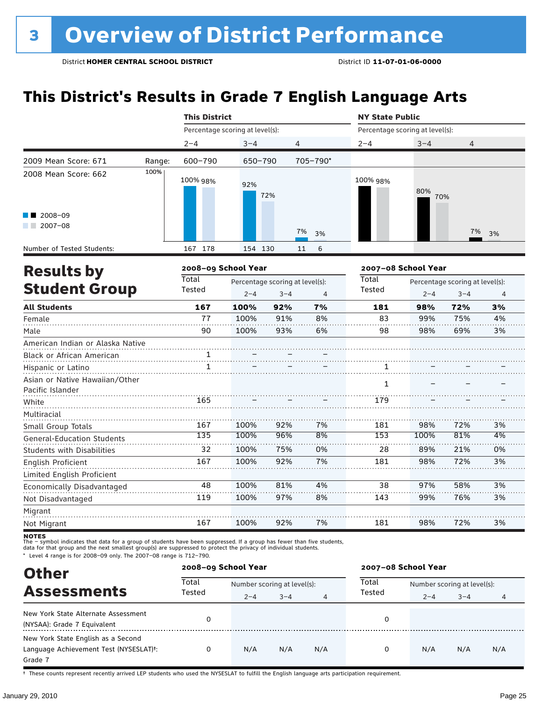### **This District's Results in Grade 7 English Language Arts**

|                                                               |        | <b>This District</b>            |         |                                            |          | <b>NY State Public</b>          |            |                                            |                |  |
|---------------------------------------------------------------|--------|---------------------------------|---------|--------------------------------------------|----------|---------------------------------|------------|--------------------------------------------|----------------|--|
|                                                               |        | Percentage scoring at level(s): |         |                                            |          | Percentage scoring at level(s): |            |                                            |                |  |
|                                                               |        | $2 - 4$                         | $3 - 4$ | 4                                          |          | $2 - 4$                         | $3 - 4$    | 4                                          |                |  |
| 2009 Mean Score: 671                                          | Range: | 600-790                         | 650-790 |                                            | 705-790* |                                 |            |                                            |                |  |
| 2008 Mean Score: 662                                          | 100%   | 100% 98%                        | 92%     | 72%                                        |          | 100% 98%                        | 80%<br>70% |                                            |                |  |
| 2008-09<br>$2007 - 08$                                        |        |                                 |         |                                            | 7%<br>3% |                                 |            | 7%                                         | 3%             |  |
| Number of Tested Students:                                    |        | 167 178                         | 154 130 |                                            | 11<br>6  |                                 |            |                                            |                |  |
| <b>Results by</b>                                             |        | 2008-09 School Year             |         |                                            |          | 2007-08 School Year             |            |                                            |                |  |
| <b>Student Group</b>                                          |        | <b>Total</b><br>Tested          | $2 - 4$ | Percentage scoring at level(s):<br>$3 - 4$ | 4        | Total<br><b>Tested</b>          | $2 - 4$    | Percentage scoring at level(s):<br>$3 - 4$ | $\overline{4}$ |  |
| <b>All Students</b>                                           |        | 167                             | 100%    | 92%                                        | 7%       | 181                             | 98%        | 72%                                        | 3%             |  |
| Female                                                        |        | 77                              | 100%    | 91%                                        | 8%       | 83                              | 99%        | 75%                                        | 4%             |  |
| Male                                                          |        | 90                              | 100%    | 93%                                        | 6%       | 98                              | 98%        | 69%                                        | 3%             |  |
| American Indian or Alaska Native<br>Black or African American |        | 1                               |         |                                            |          |                                 |            |                                            |                |  |
| Hispanic or Latino                                            |        | 1                               |         |                                            |          | 1                               |            |                                            |                |  |
| Asian or Native Hawaiian/Other<br>Pacific Islander            |        |                                 |         |                                            |          | 1                               |            |                                            |                |  |
| White                                                         |        | 165                             |         |                                            |          | 179                             |            |                                            |                |  |
| Multiracial<br>Small Group Totals                             |        | 167                             | 100%    | 92%                                        | 7%       | 181                             | 98%        | 72%                                        | 3%             |  |
| <b>General-Education Students</b>                             |        | 135                             | 100%    | 96%                                        | 8%       | 153                             | 100%       | 81%                                        | 4%             |  |
| Students with Disabilities                                    |        | 32                              | 100%    | 75%                                        | 0%       | 28                              | 89%        | 21%                                        | 0%             |  |
| English Proficient                                            |        | 167                             | 100%    | 92%                                        | 7%       | 181                             | 98%        | 72%                                        | 3%             |  |
| Limited English Proficient                                    |        |                                 |         |                                            |          |                                 |            |                                            |                |  |
| Economically Disadvantaged                                    |        | 48                              | 100%    | 81%                                        | 4%       | 38                              | 97%        | 58%                                        | 3%             |  |
| Not Disadvantaged                                             |        | 119                             | 100%    | 97%                                        | 8%       | 143                             | 99%        | 76%                                        | 3%             |  |
| Migrant                                                       |        |                                 |         |                                            |          |                                 |            |                                            |                |  |
| Not Migrant                                                   |        | 167                             | 100%    | 92%                                        | 7%       | 181                             | 98%        | 72%                                        | 3%             |  |

**NOTES**<br>The – symbol indicates that data for a group of students have been suppressed. If a group has fewer than five students,<br>data for that group and the next smallest group(s) are suppressed to protect the privacy of in

\* Level 4 range is for 2008–09 only. The 2007–08 range is 712–790.

| <b>Other</b>                                        |                 | 2008-09 School Year |                             |                | 2007-08 School Year |         |                             |     |  |  |
|-----------------------------------------------------|-----------------|---------------------|-----------------------------|----------------|---------------------|---------|-----------------------------|-----|--|--|
| <b>Assessments</b>                                  | Total<br>Tested |                     | Number scoring at level(s): |                |                     |         | Number scoring at level(s): |     |  |  |
|                                                     |                 | $2 - 4$             | $3 - 4$                     | $\overline{4}$ | Tested              | $2 - 4$ | $3 - 4$                     | 4   |  |  |
| New York State Alternate Assessment                 |                 |                     |                             |                | 0                   |         |                             |     |  |  |
| (NYSAA): Grade 7 Equivalent                         |                 |                     |                             |                |                     |         |                             |     |  |  |
| New York State English as a Second                  |                 |                     |                             |                |                     |         |                             |     |  |  |
| Language Achievement Test (NYSESLAT) <sup>+</sup> : | 0               | N/A                 | N/A                         | N/A            | 0                   | N/A     | N/A                         | N/A |  |  |
| Grade 7                                             |                 |                     |                             |                |                     |         |                             |     |  |  |

† These counts represent recently arrived LEP students who used the NYSESLAT to fulfill the English language arts participation requirement.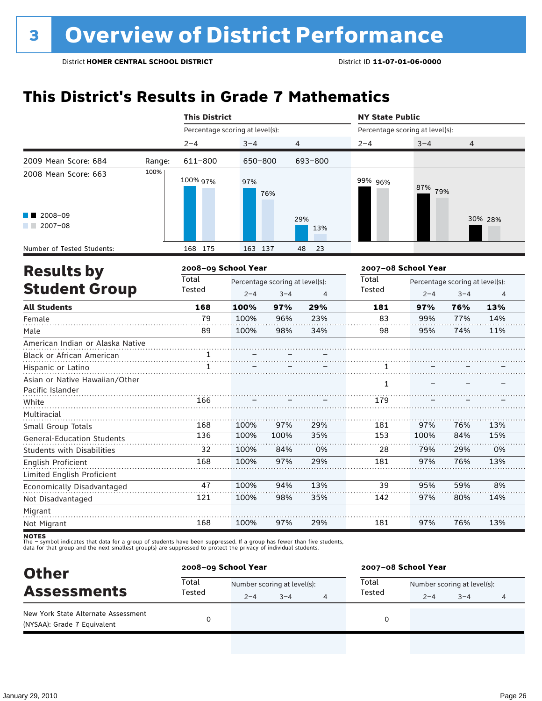### **This District's Results in Grade 7 Mathematics**

|                                                               |        | <b>This District</b>            |                                            |         |                | <b>NY State Public</b>          |                                                       |     |         |  |
|---------------------------------------------------------------|--------|---------------------------------|--------------------------------------------|---------|----------------|---------------------------------|-------------------------------------------------------|-----|---------|--|
|                                                               |        | Percentage scoring at level(s): |                                            |         |                | Percentage scoring at level(s): |                                                       |     |         |  |
|                                                               |        | $2 - 4$                         | $3 - 4$                                    |         | 4              | $2 - 4$                         | $3 - 4$                                               | 4   |         |  |
| 2009 Mean Score: 684                                          | Range: | 611-800                         | 650-800                                    |         | 693-800        |                                 |                                                       |     |         |  |
| 2008 Mean Score: 663                                          | 100%   | 100% 97%                        | 97%                                        | 76%     |                | 99% 96%                         | 87% 79%                                               |     |         |  |
| 2008-09<br>$2007 - 08$                                        |        |                                 |                                            |         | 29%<br>13%     |                                 |                                                       |     | 30% 28% |  |
| Number of Tested Students:                                    |        | 168 175                         | 163 137                                    |         | 48<br>23       |                                 |                                                       |     |         |  |
| <b>Results by</b>                                             |        | 2008-09 School Year             |                                            |         |                |                                 | 2007-08 School Year                                   |     |         |  |
| <b>Student Group</b>                                          |        | <b>Total</b><br>Tested          | Percentage scoring at level(s):<br>$2 - 4$ | $3 - 4$ | $\overline{4}$ | Total<br>Tested                 | Percentage scoring at level(s):<br>$2 - 4$<br>$3 - 4$ |     |         |  |
| <b>All Students</b>                                           |        | 168                             | 100%                                       | 97%     | 29%            | 181                             | 97%                                                   | 76% | 13%     |  |
| Female                                                        |        | 79                              | 100%                                       | 96%     | 23%            | 83                              | 99%                                                   | 77% | 14%     |  |
| Male                                                          |        | 89                              | 100%                                       | 98%     | 34%            | 98                              | 95%                                                   | 74% | 11%     |  |
| American Indian or Alaska Native<br>Black or African American |        | 1                               |                                            |         |                |                                 |                                                       |     |         |  |
| Hispanic or Latino                                            |        | 1                               |                                            |         |                | 1.                              |                                                       |     |         |  |
| Asian or Native Hawaiian/Other<br>Pacific Islander            |        |                                 |                                            |         |                | $\mathbf{1}$                    |                                                       |     |         |  |
| White                                                         |        | 166                             |                                            |         |                | 179                             |                                                       |     |         |  |
| Multiracial                                                   |        |                                 |                                            |         |                |                                 |                                                       |     |         |  |
| Small Group Totals                                            |        | 168                             | 100%                                       | 97%     | 29%            | 181                             | 97%                                                   | 76% | 13%     |  |
| <b>General-Education Students</b>                             |        | 136                             | 100%                                       | 100%    | 35%            | 153                             | 100%                                                  | 84% | 15%     |  |
| <b>Students with Disabilities</b>                             |        | 32                              | 100%                                       | 84%     | 0%             | 28                              | 79%                                                   | 29% | 0%      |  |
| English Proficient                                            |        | 168                             | 100%                                       | 97%     | 29%            | 181                             | 97%                                                   | 76% | 13%     |  |
| Limited English Proficient                                    |        |                                 |                                            |         |                |                                 |                                                       |     |         |  |
| Economically Disadvantaged                                    |        | 47                              | 100%                                       | 94%     | 13%            | 39                              | 95%                                                   | 59% | 8%      |  |
| Not Disadvantaged                                             |        | 121                             | 100%                                       | 98%     | 35%            | 142                             | 97%                                                   | 80% | 14%     |  |
| Migrant                                                       |        |                                 |                                            |         |                |                                 |                                                       |     |         |  |
| Not Migrant                                                   |        | 168                             | 100%                                       | 97%     | 29%            | 181                             | 97%                                                   | 76% | 13%     |  |

| <b>Other</b>                                                       | 2008-09 School Year |                             |         |  | 2007-08 School Year |                             |         |   |  |
|--------------------------------------------------------------------|---------------------|-----------------------------|---------|--|---------------------|-----------------------------|---------|---|--|
| <b>Assessments</b>                                                 | Total<br>Tested     | Number scoring at level(s): |         |  | Total               | Number scoring at level(s): |         |   |  |
|                                                                    |                     | $2 - 4$                     | $3 - 4$ |  | Tested              | $2 - 4$                     | $3 - 4$ | 4 |  |
| New York State Alternate Assessment<br>(NYSAA): Grade 7 Equivalent |                     |                             |         |  | 0                   |                             |         |   |  |
|                                                                    |                     |                             |         |  |                     |                             |         |   |  |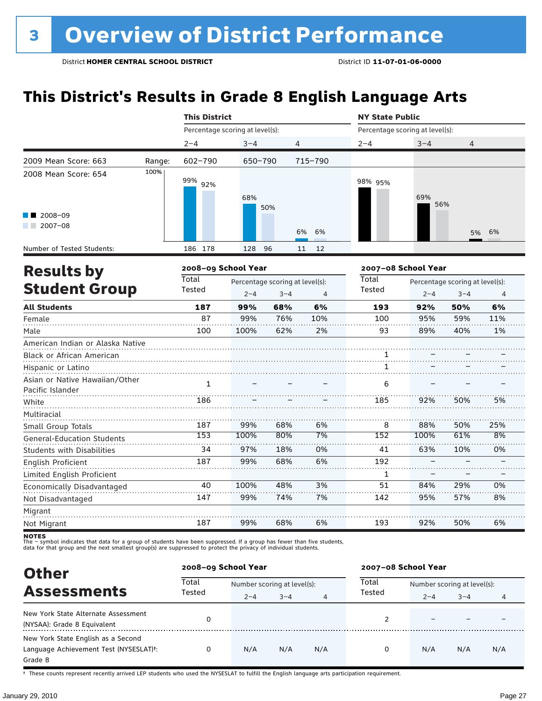### **This District's Results in Grade 8 English Language Arts**

|                                                               |                      | <b>This District</b>            |            |            |                                 | <b>NY State Public</b>          |            |                                 |                |  |
|---------------------------------------------------------------|----------------------|---------------------------------|------------|------------|---------------------------------|---------------------------------|------------|---------------------------------|----------------|--|
|                                                               |                      | Percentage scoring at level(s): |            |            |                                 | Percentage scoring at level(s): |            |                                 |                |  |
|                                                               |                      | $2 - 4$                         | $3 - 4$    |            | 4                               | $2 - 4$                         | $3 - 4$    | 4                               |                |  |
| 2009 Mean Score: 663                                          | Range:               | 602-790                         | 650-790    |            | 715-790                         |                                 |            |                                 |                |  |
| 2008 Mean Score: 654                                          | 100%                 | 99% 92%                         | 68%        | 50%        |                                 | 98% 95%                         | 69%<br>56% |                                 |                |  |
| 2008-09<br>$12007-08$                                         |                      |                                 |            |            | 6%<br>6%                        |                                 |            | 5%                              | 6%             |  |
| Number of Tested Students:                                    |                      | 186 178                         | 128        | 96         | 12<br>11                        |                                 |            |                                 |                |  |
| <b>Results by</b>                                             |                      | 2008-09 School Year             |            |            |                                 | 2007-08 School Year             |            |                                 |                |  |
|                                                               | <b>Student Group</b> |                                 |            |            | Percentage scoring at level(s): | Total<br>Tested                 |            | Percentage scoring at level(s): |                |  |
|                                                               |                      | Tested                          | $2 - 4$    | $3 - 4$    | 4                               |                                 | $2 - 4$    | $3 - 4$                         | $\overline{4}$ |  |
| <b>All Students</b>                                           |                      | 187<br>87                       | 99%<br>99% | 68%<br>76% | 6%<br>10%                       | 193<br>100                      | 92%<br>95% | 50%<br>59%                      | 6%<br>11%      |  |
| Female                                                        |                      | 100                             |            | 62%        | 2%                              | 93                              | 89%        | 40%                             | 1%             |  |
| Male                                                          |                      |                                 | 100%       |            |                                 |                                 |            |                                 |                |  |
| American Indian or Alaska Native<br>Black or African American |                      |                                 |            |            |                                 | 1                               |            |                                 |                |  |
| Hispanic or Latino                                            |                      |                                 |            |            |                                 | 1                               |            |                                 |                |  |
| Asian or Native Hawaiian/Other<br>Pacific Islander            |                      | $\mathbf{1}$                    |            |            |                                 | 6                               |            |                                 |                |  |
| White                                                         |                      | 186                             |            |            |                                 | 185                             | 92%        | 50%                             | 5%             |  |
| Multiracial<br>Small Group Totals                             |                      | 187                             | 99%        | 68%        | 6%                              | 8                               | 88%        | 50%                             | 25%            |  |
| <b>General-Education Students</b>                             |                      | 153                             | 100%       | 80%        | 7%                              | 152                             | 100%       | 61%                             | 8%             |  |
| <b>Students with Disabilities</b>                             |                      | 34                              | 97%        | 18%        | 0%                              | 41                              | 63%        | 10%                             | 0%             |  |
| English Proficient                                            |                      | 187                             | 99%        | 68%        | 6%                              | 192                             |            |                                 |                |  |
| Limited English Proficient                                    |                      |                                 |            |            |                                 | 1                               |            |                                 |                |  |
| Economically Disadvantaged                                    |                      | 40                              | 100%       | 48%        | 3%                              | 51                              | 84%        | 29%                             | 0%             |  |
| Not Disadvantaged                                             |                      | 147                             | 99%        | 74%        | 7%                              | 142                             | 95%        | 57%                             | 8%             |  |
| Migrant                                                       |                      |                                 |            |            |                                 |                                 |            |                                 |                |  |
| Not Migrant                                                   |                      | 187                             | 99%        | 68%        | 6%                              | 193                             | 92%        | 50%                             | 6%             |  |

**NOTES**<br>The – symbol indicates that data for a group of students have been suppressed. If a group has fewer than five students,<br>data for that group and the next smallest group(s) are suppressed to protect the privacy of in

| <b>Other</b>                                                                            |                 | 2008-09 School Year         |         |     | 2007-08 School Year |                             |         |     |  |
|-----------------------------------------------------------------------------------------|-----------------|-----------------------------|---------|-----|---------------------|-----------------------------|---------|-----|--|
| <b>Assessments</b>                                                                      | Total<br>Tested | Number scoring at level(s): |         |     | Total               | Number scoring at level(s): |         |     |  |
|                                                                                         |                 | $2 - 4$                     | $3 - 4$ | 4   | Tested              | $2 - 4$                     | $3 - 4$ | 4   |  |
| New York State Alternate Assessment<br>(NYSAA): Grade 8 Equivalent                      |                 |                             |         |     |                     |                             |         |     |  |
| New York State English as a Second<br>Language Achievement Test (NYSESLAT)t:<br>Grade 8 | 0               | N/A                         | N/A     | N/A | 0                   | N/A                         | N/A     | N/A |  |

† These counts represent recently arrived LEP students who used the NYSESLAT to fulfill the English language arts participation requirement.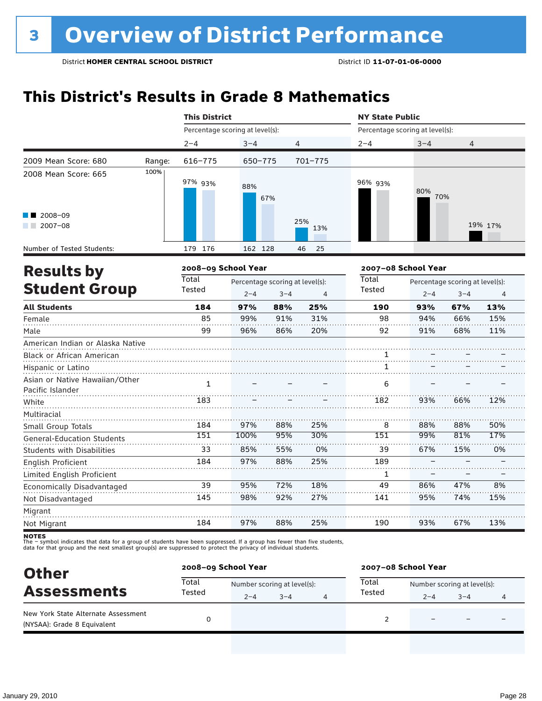### **This District's Results in Grade 8 Mathematics**

|                                                    |        | <b>This District</b>            |         |                                 |             |                                 | <b>NY State Public</b> |                                 |         |  |
|----------------------------------------------------|--------|---------------------------------|---------|---------------------------------|-------------|---------------------------------|------------------------|---------------------------------|---------|--|
|                                                    |        | Percentage scoring at level(s): |         |                                 |             | Percentage scoring at level(s): |                        |                                 |         |  |
|                                                    |        | $2 - 4$                         | $3 - 4$ | $\overline{4}$                  |             | $2 - 4$                         | $3 - 4$                | 4                               |         |  |
| 2009 Mean Score: 680                               | Range: | 616-775                         | 650-775 |                                 | $701 - 775$ |                                 |                        |                                 |         |  |
| 2008 Mean Score: 665                               | 100%   | 97% 93%                         | 88%     | 67%                             |             | 96% 93%                         | 80%<br>70%             |                                 |         |  |
| 2008-09<br>$2007 - 08$                             |        |                                 |         |                                 | 25%<br>13%  |                                 |                        |                                 | 19% 17% |  |
| Number of Tested Students:                         |        | 179 176                         | 162 128 |                                 | 25<br>46    |                                 |                        |                                 |         |  |
| <b>Results by</b>                                  |        | 2008-09 School Year             |         |                                 |             | 2007-08 School Year             |                        |                                 |         |  |
|                                                    |        | <b>Total</b>                    |         | Percentage scoring at level(s): |             | Total                           |                        | Percentage scoring at level(s): |         |  |
| <b>Student Group</b>                               |        | Tested                          | $2 - 4$ | $3 - 4$                         | 4           | Tested                          | $2 - 4$                | $3 - 4$                         | 4       |  |
| <b>All Students</b>                                |        | 184                             | 97%     | 88%                             | 25%         | 190                             | 93%                    | 67%                             | 13%     |  |
| Female                                             |        | 85                              | 99%     | 91%                             | 31%         | 98                              | 94%                    | 66%                             | 15%     |  |
| Male                                               |        | 99                              | 96%     | 86%                             | 20%         | 92                              | 91%                    | 68%                             | 11%     |  |
| American Indian or Alaska Native                   |        |                                 |         |                                 |             |                                 |                        |                                 |         |  |
| Black or African American                          |        |                                 |         |                                 |             | 1                               |                        |                                 |         |  |
| Hispanic or Latino                                 |        |                                 |         |                                 |             | 1                               |                        |                                 |         |  |
| Asian or Native Hawaiian/Other<br>Pacific Islander |        | $\mathbf{1}$                    |         |                                 |             | 6                               |                        |                                 |         |  |
| White                                              |        | 183                             |         |                                 |             | 182                             | 93%                    | 66%                             | 12%     |  |
| Multiracial                                        |        |                                 |         |                                 |             |                                 |                        |                                 |         |  |
| Small Group Totals                                 |        | 184                             | 97%     | 88%                             | 25%         | 8                               | 88%                    | 88%                             | 50%     |  |
| <b>General-Education Students</b>                  |        | 151                             | 100%    | 95%                             | 30%         | 151                             | 99%                    | 81%                             | 17%     |  |
| <b>Students with Disabilities</b>                  |        | 33                              | 85%     | 55%                             | 0%          | 39                              | 67%                    | 15%                             | 0%      |  |
| English Proficient                                 |        | 184                             | 97%     | 88%                             | 25%         | 189                             |                        |                                 |         |  |
| Limited English Proficient                         |        |                                 |         |                                 |             | 1                               |                        |                                 |         |  |
| Economically Disadvantaged                         |        | 39                              | 95%     | 72%                             | 18%         | 49                              | 86%                    | 47%                             | 8%      |  |
| Not Disadvantaged                                  |        | 145                             | 98%     | 92%                             | 27%         | 141                             | 95%                    | 74%                             | 15%     |  |
| Migrant                                            |        |                                 |         |                                 |             |                                 |                        |                                 |         |  |
| Not Migrant                                        |        | 184                             | 97%     | 88%                             | 25%         | 190                             | 93%                    | 67%                             | 13%     |  |

| <b>Other</b><br><b>Assessments</b>                                 |                 | 2008-09 School Year         |         |  |        | 2007-08 School Year         |                          |   |  |  |
|--------------------------------------------------------------------|-----------------|-----------------------------|---------|--|--------|-----------------------------|--------------------------|---|--|--|
|                                                                    | Total<br>Tested | Number scoring at level(s): |         |  | Total  | Number scoring at level(s): |                          |   |  |  |
|                                                                    |                 | $2 - 4$                     | $3 - 4$ |  | Tested | $2 - 4$                     | $3 - 4$                  | 4 |  |  |
| New York State Alternate Assessment<br>(NYSAA): Grade 8 Equivalent |                 |                             |         |  |        |                             | $\overline{\phantom{0}}$ |   |  |  |
|                                                                    |                 |                             |         |  |        |                             |                          |   |  |  |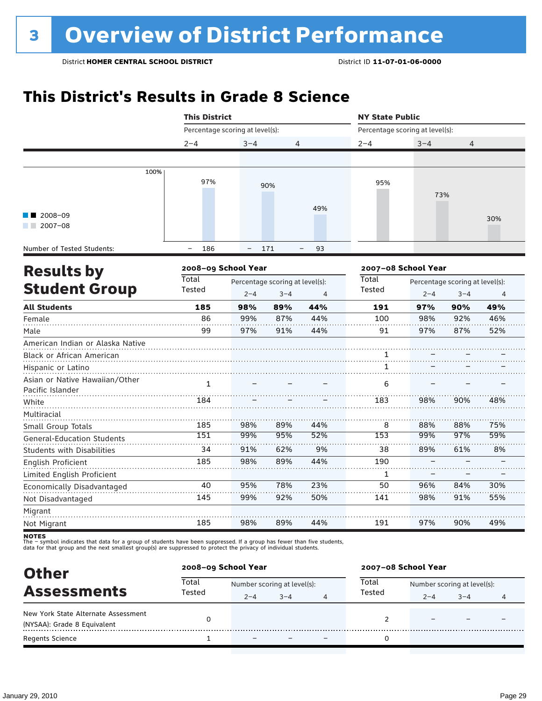### **This District's Results in Grade 8 Science**

|                                                                      | <b>This District</b>            |                                 |         | <b>NY State Public</b>         |                                 |                     |                                 |     |  |  |
|----------------------------------------------------------------------|---------------------------------|---------------------------------|---------|--------------------------------|---------------------------------|---------------------|---------------------------------|-----|--|--|
|                                                                      | Percentage scoring at level(s): |                                 |         |                                | Percentage scoring at level(s): |                     |                                 |     |  |  |
|                                                                      | $2 - 4$                         | $3 - 4$                         | 4       |                                | $2 - 4$                         | $3 - 4$             | 4                               |     |  |  |
|                                                                      |                                 |                                 |         |                                |                                 |                     |                                 |     |  |  |
| 100%                                                                 | 97%                             |                                 | 90%     |                                | 95%                             | 73%                 |                                 |     |  |  |
| 2008-09<br>$2007 - 08$                                               |                                 |                                 |         | 49%                            |                                 |                     |                                 | 30% |  |  |
| Number of Tested Students:                                           | 186<br>$\overline{\phantom{0}}$ | $\overline{\phantom{0}}$        | 171     | 93<br>$\overline{\phantom{0}}$ |                                 |                     |                                 |     |  |  |
| <b>Results by</b>                                                    | 2008-09 School Year             |                                 |         |                                |                                 | 2007-08 School Year |                                 |     |  |  |
|                                                                      | Total                           | Percentage scoring at level(s): |         |                                | <b>Total</b>                    |                     | Percentage scoring at level(s): |     |  |  |
| <b>Student Group</b>                                                 | Tested                          | $2 - 4$                         | $3 - 4$ | 4                              | <b>Tested</b>                   | $2 - 4$             | $3 - 4$                         | 4   |  |  |
| <b>All Students</b>                                                  | 185                             | 98%                             | 89%     | 44%                            | 191                             | 97%                 | 90%                             | 49% |  |  |
| Female                                                               | 86                              | 99%                             | 87%     | 44%                            | 100                             | 98%                 | 92%                             | 46% |  |  |
| Male                                                                 | 99                              | 97%                             | 91%     | 44%                            | 91                              | 97%                 | 87%                             | 52% |  |  |
| American Indian or Alaska Native<br><b>Black or African American</b> |                                 |                                 |         |                                |                                 |                     |                                 |     |  |  |
| Hispanic or Latino                                                   |                                 |                                 |         |                                | 1                               |                     |                                 |     |  |  |
| Asian or Native Hawaiian/Other<br>Pacific Islander                   | $\mathbf{1}$                    |                                 |         |                                | 6                               |                     |                                 |     |  |  |
| White                                                                | 184                             |                                 |         |                                | 183                             | 98%                 | 90%                             | 48% |  |  |
| Multiracial<br>Small Group Totals                                    | 185                             | 98%                             | 89%     | 44%                            | 8                               | 88%                 | 88%                             | 75% |  |  |
| General-Education Students                                           | 151                             | 99%                             | 95%     | 52%                            | 153                             | 99%                 | 97%                             | 59% |  |  |
| <b>Students with Disabilities</b>                                    | 34                              | 91%                             | 62%     | 9%                             | 38                              | 89%                 | 61%                             | 8%  |  |  |
| English Proficient                                                   | 185                             | 98%                             | 89%     | 44%                            | 190                             |                     |                                 |     |  |  |
| Limited English Proficient                                           |                                 |                                 |         |                                | 1                               |                     |                                 |     |  |  |
| Economically Disadvantaged                                           | 40                              | 95%                             | 78%     | 23%                            | 50                              | 96%                 | 84%                             | 30% |  |  |
| Not Disadvantaged                                                    | 145                             | 99%                             | 92%     | 50%                            | 141                             | 98%                 | 91%                             | 55% |  |  |
| Migrant                                                              |                                 |                                 |         |                                |                                 |                     |                                 |     |  |  |
| Not Migrant                                                          | 185                             | 98%                             | 89%     | 44%                            | 191                             | 97%                 | 90%                             | 49% |  |  |

| <b>Other</b><br><b>Assessments</b>                                 | 2008-09 School Year |                             |         |   | 2007-08 School Year |                             |         |   |  |
|--------------------------------------------------------------------|---------------------|-----------------------------|---------|---|---------------------|-----------------------------|---------|---|--|
|                                                                    | Total               | Number scoring at level(s): |         |   | Total               | Number scoring at level(s): |         |   |  |
|                                                                    | Tested              | $2 - 4$                     | $3 - 4$ | 4 | Tested              | $2 - 4$                     | $3 - 4$ | 4 |  |
| New York State Alternate Assessment<br>(NYSAA): Grade 8 Equivalent |                     |                             |         |   |                     |                             |         |   |  |
| <b>Regents Science</b>                                             |                     | $\overline{\phantom{0}}$    |         |   |                     |                             |         |   |  |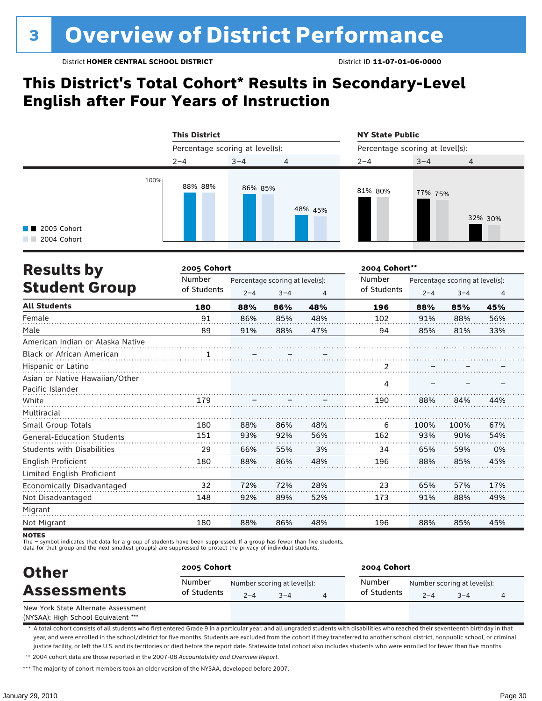### **This District's Total Cohort\* Results in Secondary-Level English after Four Years of Instruction**



| <b>Results by</b>                 | 2005 Cohort | 2004 Cohort**                   |         |                |             |                                 |         |                |  |
|-----------------------------------|-------------|---------------------------------|---------|----------------|-------------|---------------------------------|---------|----------------|--|
|                                   | Number      | Percentage scoring at level(s): |         |                | Number      | Percentage scoring at level(s): |         |                |  |
| <b>Student Group</b>              | of Students | $2 - 4$                         | $3 - 4$ | $\overline{4}$ | of Students | $2 - 4$                         | $3 - 4$ | $\overline{4}$ |  |
| <b>All Students</b>               | 180         | 88%                             | 86%     | 48%            | 196         | 88%                             | 85%     | 45%            |  |
| Female                            | 91          | 86%                             | 85%     | 48%            | 102         | 91%                             | 88%     | 56%            |  |
| Male                              | 89          | 91%                             | 88%     | 47%            | 94          | 85%                             | 81%     | 33%            |  |
| American Indian or Alaska Native  |             |                                 |         |                |             |                                 |         |                |  |
| <b>Black or African American</b>  | . 1         |                                 |         |                |             |                                 |         |                |  |
| Hispanic or Latino                |             |                                 |         |                |             |                                 |         |                |  |
| Asian or Native Hawaiian/Other    |             |                                 |         |                |             |                                 |         |                |  |
| Pacific Islander                  |             |                                 |         |                | 4           |                                 |         |                |  |
| White                             | 179         |                                 |         |                | 190         | 88%                             | 84%     | 44%            |  |
| Multiracial                       |             |                                 |         |                |             |                                 |         |                |  |
| Small Group Totals                | 180         | 88%                             | 86%     | 48%            | 6           | 100%                            | 100%    | 67%            |  |
| <b>General-Education Students</b> | 151         | 93%                             | 92%     | 56%            | 162         | 93%                             | 90%     | 54%            |  |
| <b>Students with Disabilities</b> | 29          | 66%                             | 55%     | 3%             | 34          | 65%                             | 59%     | 0%             |  |
| English Proficient                | 180         | 88%                             | 86%     | 48%            | 196         | 88%                             | 85%     | 45%            |  |
| Limited English Proficient        |             |                                 |         |                |             |                                 |         |                |  |
| Economically Disadvantaged        | 32          | 72%                             | 72%     | 28%            | 23          | 65%                             | 57%     | 17%            |  |
| Not Disadvantaged                 | 148         | 92%                             | 89%     | 52%            | 173         | 91%                             | 88%     | 49%            |  |
| Migrant                           |             |                                 |         |                |             |                                 |         |                |  |
| Not Migrant                       | 180         | 88%                             | 86%     | 48%            | 196         | 88%                             | 85%     | 45%            |  |

**NOTES** 

The – symbol indicates that data for a group of students have been suppressed. If a group has fewer than five students,

data for that group and the next smallest group(s) are suppressed to protect the privacy of individual students.

| <b>Other</b><br><b>Assessments</b>  | 2005 Cohort           |         |                                     | 2004 Cohort           |         |                                        |  |  |  |
|-------------------------------------|-----------------------|---------|-------------------------------------|-----------------------|---------|----------------------------------------|--|--|--|
|                                     | Number<br>of Students | $2 - 4$ | Number scoring at level(s):<br>$-4$ | Number<br>of Students | $2 - 4$ | Number scoring at level(s):<br>$3 - 4$ |  |  |  |
| New York State Alternate Assessment |                       |         |                                     |                       |         |                                        |  |  |  |

(NYSAA): High School Equivalent \*\*\*

\* A total cohort consists of all students who first entered Grade 9 in a particular year, and all ungraded students with disabilities who reached their seventeenth birthday in that year, and were enrolled in the school/district for five months. Students are excluded from the cohort if they transferred to another school district, nonpublic school, or criminal justice facility, or left the U.S. and its territories or died before the report date. Statewide total cohort also includes students who were enrolled for fewer than five months.

\*\* 2004 cohort data are those reported in the 2007-08 *Accountability and Overview Report*.

\*\*\* The majority of cohort members took an older version of the NYSAA, developed before 2007.